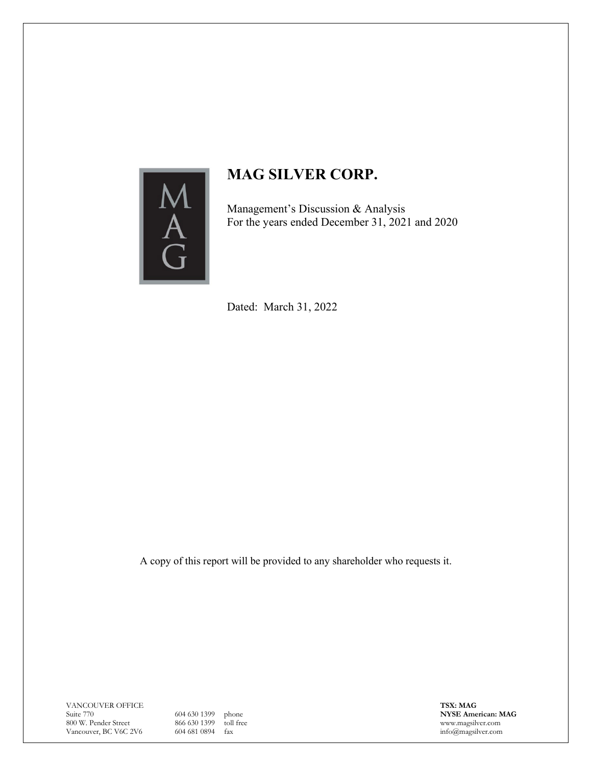

Management's Discussion & Analysis For the years ended December 31, 2021 and 2020

Dated: March 31, 2022

A copy of this report will be provided to any shareholder who requests it.

VANCOUVER OFFICE Suite 770 800 W. Pender Street Vancouver, BC V6C 2V6

604 630 1399 phone 866 630 1399 toll free 604 681 0894 fax

**TSX: MAG NYSE American: MAG** www.magsilver.com info@magsilver.com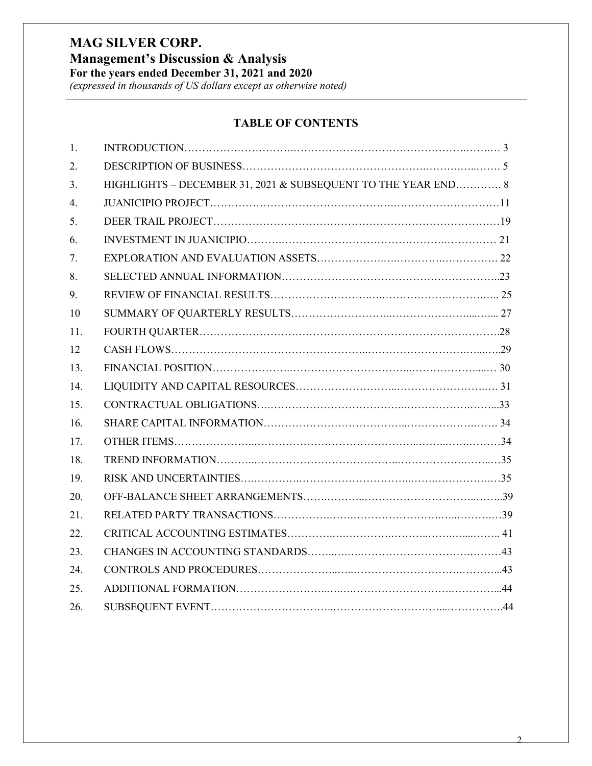**Management's Discussion & Analysis**

**For the years ended December 31, 2021 and 2020**

*(expressed in thousands of US dollars except as otherwise noted)*

# **TABLE OF CONTENTS**

| 1.  |                                                               |  |
|-----|---------------------------------------------------------------|--|
| 2.  |                                                               |  |
| 3.  | HIGHLIGHTS - DECEMBER 31, 2021 & SUBSEQUENT TO THE YEAR END 8 |  |
| 4.  |                                                               |  |
| 5.  |                                                               |  |
| 6.  |                                                               |  |
| 7.  |                                                               |  |
| 8.  |                                                               |  |
| 9.  |                                                               |  |
| 10  |                                                               |  |
| 11. |                                                               |  |
| 12  |                                                               |  |
| 13. |                                                               |  |
| 14. |                                                               |  |
| 15. |                                                               |  |
| 16. |                                                               |  |
| 17. |                                                               |  |
| 18. |                                                               |  |
| 19. |                                                               |  |
| 20. |                                                               |  |
| 21. |                                                               |  |
| 22. |                                                               |  |
| 23. |                                                               |  |
| 24. |                                                               |  |
| 25. |                                                               |  |
| 26. |                                                               |  |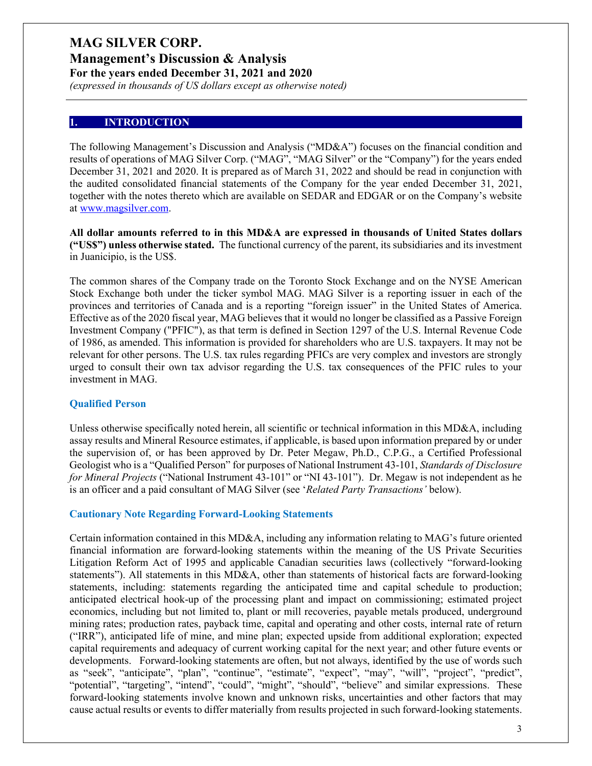**Management's Discussion & Analysis For the years ended December 31, 2021 and 2020**

*(expressed in thousands of US dollars except as otherwise noted)*

#### **1. INTRODUCTION**

The following Management's Discussion and Analysis ("MD&A") focuses on the financial condition and results of operations of MAG Silver Corp. ("MAG", "MAG Silver" or the "Company") for the years ended December 31, 2021 and 2020. It is prepared as of March 31, 2022 and should be read in conjunction with the audited consolidated financial statements of the Company for the year ended December 31, 2021, together with the notes thereto which are available on SEDAR and EDGAR or on the Company's website at [www.magsilver.com.](http://www.magsilver.com/)

**All dollar amounts referred to in this MD&A are expressed in thousands of United States dollars ("US\$") unless otherwise stated.** The functional currency of the parent, its subsidiaries and its investment in Juanicipio, is the US\$.

The common shares of the Company trade on the Toronto Stock Exchange and on the NYSE American Stock Exchange both under the ticker symbol MAG. MAG Silver is a reporting issuer in each of the provinces and territories of Canada and is a reporting "foreign issuer" in the United States of America. Effective as of the 2020 fiscal year, MAG believes that it would no longer be classified as a Passive Foreign Investment Company ("PFIC"), as that term is defined in Section 1297 of the U.S. Internal Revenue Code of 1986, as amended. This information is provided for shareholders who are U.S. taxpayers. It may not be relevant for other persons. The U.S. tax rules regarding PFICs are very complex and investors are strongly urged to consult their own tax advisor regarding the U.S. tax consequences of the PFIC rules to your investment in MAG.

#### **Qualified Person**

Unless otherwise specifically noted herein, all scientific or technical information in this MD&A, including assay results and Mineral Resource estimates, if applicable, is based upon information prepared by or under the supervision of, or has been approved by Dr. Peter Megaw, Ph.D., C.P.G., a Certified Professional Geologist who is a "Qualified Person" for purposes of National Instrument 43-101, *Standards of Disclosure for Mineral Projects* ("National Instrument 43-101" or "NI 43-101"). Dr. Megaw is not independent as he is an officer and a paid consultant of MAG Silver (see '*Related Party Transactions'* below).

#### **Cautionary Note Regarding Forward-Looking Statements**

Certain information contained in this MD&A, including any information relating to MAG's future oriented financial information are forward-looking statements within the meaning of the US Private Securities Litigation Reform Act of 1995 and applicable Canadian securities laws (collectively "forward-looking statements"). All statements in this MD&A, other than statements of historical facts are forward-looking statements, including: statements regarding the anticipated time and capital schedule to production; anticipated electrical hook-up of the processing plant and impact on commissioning; estimated project economics, including but not limited to, plant or mill recoveries, payable metals produced, underground mining rates; production rates, payback time, capital and operating and other costs, internal rate of return ("IRR"), anticipated life of mine, and mine plan; expected upside from additional exploration; expected capital requirements and adequacy of current working capital for the next year; and other future events or developments. Forward-looking statements are often, but not always, identified by the use of words such as "seek", "anticipate", "plan", "continue", "estimate", "expect", "may", "will", "project", "predict", "potential", "targeting", "intend", "could", "might", "should", "believe" and similar expressions. These forward-looking statements involve known and unknown risks, uncertainties and other factors that may cause actual results or events to differ materially from results projected in such forward-looking statements.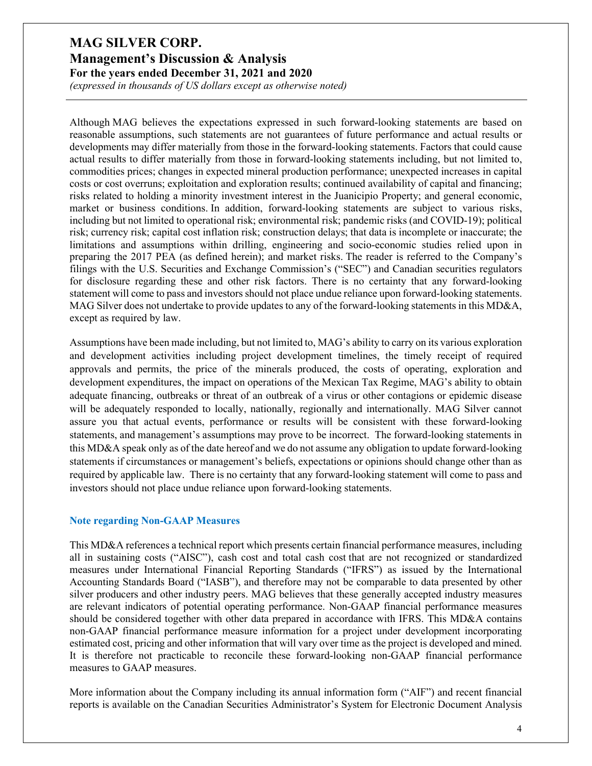*(expressed in thousands of US dollars except as otherwise noted)*

Although MAG believes the expectations expressed in such forward-looking statements are based on reasonable assumptions, such statements are not guarantees of future performance and actual results or developments may differ materially from those in the forward-looking statements. Factors that could cause actual results to differ materially from those in forward-looking statements including, but not limited to, commodities prices; changes in expected mineral production performance; unexpected increases in capital costs or cost overruns; exploitation and exploration results; continued availability of capital and financing; risks related to holding a minority investment interest in the Juanicipio Property; and general economic, market or business conditions. In addition, forward-looking statements are subject to various risks, including but not limited to operational risk; environmental risk; pandemic risks (and COVID-19); political risk; currency risk; capital cost inflation risk; construction delays; that data is incomplete or inaccurate; the limitations and assumptions within drilling, engineering and socio-economic studies relied upon in preparing the 2017 PEA (as defined herein); and market risks. The reader is referred to the Company's filings with the U.S. Securities and Exchange Commission's ("SEC") and Canadian securities regulators for disclosure regarding these and other risk factors. There is no certainty that any forward-looking statement will come to pass and investors should not place undue reliance upon forward-looking statements. MAG Silver does not undertake to provide updates to any of the forward-looking statements in this MD&A, except as required by law.

Assumptions have been made including, but not limited to, MAG's ability to carry on its various exploration and development activities including project development timelines, the timely receipt of required approvals and permits, the price of the minerals produced, the costs of operating, exploration and development expenditures, the impact on operations of the Mexican Tax Regime, MAG's ability to obtain adequate financing, outbreaks or threat of an outbreak of a virus or other contagions or epidemic disease will be adequately responded to locally, nationally, regionally and internationally. MAG Silver cannot assure you that actual events, performance or results will be consistent with these forward-looking statements, and management's assumptions may prove to be incorrect. The forward-looking statements in this MD&A speak only as of the date hereof and we do not assume any obligation to update forward-looking statements if circumstances or management's beliefs, expectations or opinions should change other than as required by applicable law. There is no certainty that any forward-looking statement will come to pass and investors should not place undue reliance upon forward-looking statements.

#### **Note regarding Non-GAAP Measures**

This MD&A references a technical report which presents certain financial performance measures, including all in sustaining costs ("AISC"), cash cost and total cash cost that are not recognized or standardized measures under International Financial Reporting Standards ("IFRS") as issued by the International Accounting Standards Board ("IASB"), and therefore may not be comparable to data presented by other silver producers and other industry peers. MAG believes that these generally accepted industry measures are relevant indicators of potential operating performance. Non-GAAP financial performance measures should be considered together with other data prepared in accordance with IFRS. This MD&A contains non-GAAP financial performance measure information for a project under development incorporating estimated cost, pricing and other information that will vary over time as the project is developed and mined. It is therefore not practicable to reconcile these forward-looking non-GAAP financial performance measures to GAAP measures.

More information about the Company including its annual information form ("AIF") and recent financial reports is available on the Canadian Securities Administrator's System for Electronic Document Analysis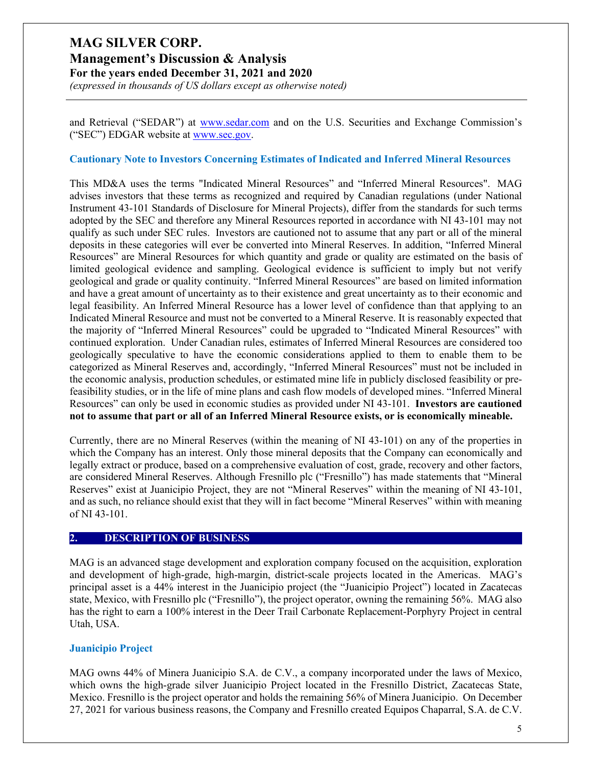**Management's Discussion & Analysis For the years ended December 31, 2021 and 2020**

*(expressed in thousands of US dollars except as otherwise noted)*

and Retrieval ("SEDAR") at [www.sedar.com](http://www.sedar.com/) and on the U.S. Securities and Exchange Commission's ("SEC") EDGAR website at [www.sec.gov.](http://www.sec.gov/)

#### **Cautionary Note to Investors Concerning Estimates of Indicated and Inferred Mineral Resources**

This MD&A uses the terms "Indicated Mineral Resources" and "Inferred Mineral Resources". MAG advises investors that these terms as recognized and required by Canadian regulations (under National Instrument 43-101 Standards of Disclosure for Mineral Projects), differ from the standards for such terms adopted by the SEC and therefore any Mineral Resources reported in accordance with NI 43-101 may not qualify as such under SEC rules. Investors are cautioned not to assume that any part or all of the mineral deposits in these categories will ever be converted into Mineral Reserves. In addition, "Inferred Mineral Resources" are Mineral Resources for which quantity and grade or quality are estimated on the basis of limited geological evidence and sampling. Geological evidence is sufficient to imply but not verify geological and grade or quality continuity. "Inferred Mineral Resources" are based on limited information and have a great amount of uncertainty as to their existence and great uncertainty as to their economic and legal feasibility. An Inferred Mineral Resource has a lower level of confidence than that applying to an Indicated Mineral Resource and must not be converted to a Mineral Reserve. It is reasonably expected that the majority of "Inferred Mineral Resources" could be upgraded to "Indicated Mineral Resources" with continued exploration. Under Canadian rules, estimates of Inferred Mineral Resources are considered too geologically speculative to have the economic considerations applied to them to enable them to be categorized as Mineral Reserves and, accordingly, "Inferred Mineral Resources" must not be included in the economic analysis, production schedules, or estimated mine life in publicly disclosed feasibility or prefeasibility studies, or in the life of mine plans and cash flow models of developed mines. "Inferred Mineral Resources" can only be used in economic studies as provided under NI 43-101. **Investors are cautioned not to assume that part or all of an Inferred Mineral Resource exists, or is economically mineable.**

Currently, there are no Mineral Reserves (within the meaning of NI 43-101) on any of the properties in which the Company has an interest. Only those mineral deposits that the Company can economically and legally extract or produce, based on a comprehensive evaluation of cost, grade, recovery and other factors, are considered Mineral Reserves. Although Fresnillo plc ("Fresnillo") has made statements that "Mineral Reserves" exist at Juanicipio Project, they are not "Mineral Reserves" within the meaning of NI 43-101, and as such, no reliance should exist that they will in fact become "Mineral Reserves" within with meaning of NI 43-101.

#### **2. DESCRIPTION OF BUSINESS**

MAG is an advanced stage development and exploration company focused on the acquisition, exploration and development of high-grade, high-margin, district-scale projects located in the Americas. MAG's principal asset is a 44% interest in the Juanicipio project (the "Juanicipio Project") located in Zacatecas state, Mexico, with Fresnillo plc ("Fresnillo"), the project operator, owning the remaining 56%. MAG also has the right to earn a 100% interest in the Deer Trail Carbonate Replacement-Porphyry Project in central Utah, USA.

### **Juanicipio Project**

MAG owns 44% of Minera Juanicipio S.A. de C.V., a company incorporated under the laws of Mexico, which owns the high-grade silver Juanicipio Project located in the Fresnillo District, Zacatecas State, Mexico. Fresnillo is the project operator and holds the remaining 56% of Minera Juanicipio. On December 27, 2021 for various business reasons, the Company and Fresnillo created Equipos Chaparral, S.A. de C.V.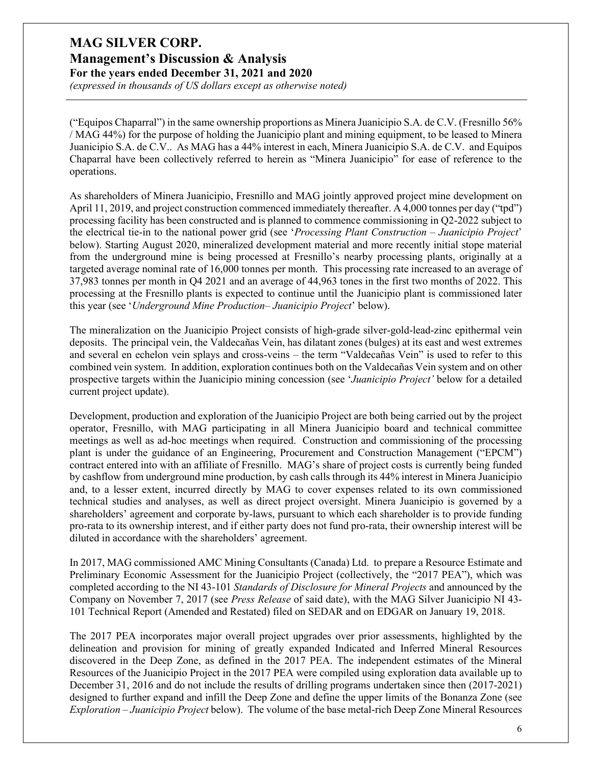**Management's Discussion & Analysis For the years ended December 31, 2021 and 2020**

*(expressed in thousands of US dollars except as otherwise noted)*

("Equipos Chaparral") in the same ownership proportions as Minera Juanicipio S.A. de C.V. (Fresnillo 56% / MAG 44%) for the purpose of holding the Juanicipio plant and mining equipment, to be leased to Minera Juanicipio S.A. de C.V.. As MAG has a 44% interest in each, Minera Juanicipio S.A. de C.V. and Equipos Chaparral have been collectively referred to herein as "Minera Juanicipio" for ease of reference to the operations.

As shareholders of Minera Juanicipio, Fresnillo and MAG jointly approved project mine development on April 11, 2019, and project construction commenced immediately thereafter. A 4,000 tonnes per day ("tpd") processing facility has been constructed and is planned to commence commissioning in Q2-2022 subject to the electrical tie-in to the national power grid (see '*Processing Plant Construction – Juanicipio Project*' below). Starting August 2020, mineralized development material and more recently initial stope material from the underground mine is being processed at Fresnillo's nearby processing plants, originally at a targeted average nominal rate of 16,000 tonnes per month. This processing rate increased to an average of 37,983 tonnes per month in Q4 2021 and an average of 44,963 tones in the first two months of 2022. This processing at the Fresnillo plants is expected to continue until the Juanicipio plant is commissioned later this year (see '*Underground Mine Production– Juanicipio Project*' below).

The mineralization on the Juanicipio Project consists of high-grade silver-gold-lead-zinc epithermal vein deposits. The principal vein, the Valdecañas Vein, has dilatant zones (bulges) at its east and west extremes and several en echelon vein splays and cross-veins – the term "Valdecañas Vein" is used to refer to this combined vein system. In addition, exploration continues both on the Valdecañas Vein system and on other prospective targets within the Juanicipio mining concession (see '*Juanicipio Project'* below for a detailed current project update).

Development, production and exploration of the Juanicipio Project are both being carried out by the project operator, Fresnillo, with MAG participating in all Minera Juanicipio board and technical committee meetings as well as ad-hoc meetings when required. Construction and commissioning of the processing plant is under the guidance of an Engineering, Procurement and Construction Management ("EPCM") contract entered into with an affiliate of Fresnillo. MAG's share of project costs is currently being funded by cashflow from underground mine production, by cash calls through its 44% interest in Minera Juanicipio and, to a lesser extent, incurred directly by MAG to cover expenses related to its own commissioned technical studies and analyses, as well as direct project oversight. Minera Juanicipio is governed by a shareholders' agreement and corporate by-laws, pursuant to which each shareholder is to provide funding pro-rata to its ownership interest, and if either party does not fund pro-rata, their ownership interest will be diluted in accordance with the shareholders' agreement.

In 2017, MAG commissioned AMC Mining Consultants (Canada) Ltd. to prepare a Resource Estimate and Preliminary Economic Assessment for the Juanicipio Project (collectively, the "2017 PEA"), which was completed according to the NI 43-101 *Standards of Disclosure for Mineral Projects* and announced by the Company on November 7, 2017 (see *Press Release* of said date), with the MAG Silver Juanicipio NI 43- 101 Technical Report (Amended and Restated) filed on SEDAR and on EDGAR on January 19, 2018.

The 2017 PEA incorporates major overall project upgrades over prior assessments, highlighted by the delineation and provision for mining of greatly expanded Indicated and Inferred Mineral Resources discovered in the Deep Zone, as defined in the 2017 PEA. The independent estimates of the Mineral Resources of the Juanicipio Project in the 2017 PEA were compiled using exploration data available up to December 31, 2016 and do not include the results of drilling programs undertaken since then (2017-2021) designed to further expand and infill the Deep Zone and define the upper limits of the Bonanza Zone (see *Exploration – Juanicipio Project* below). The volume of the base metal-rich Deep Zone Mineral Resources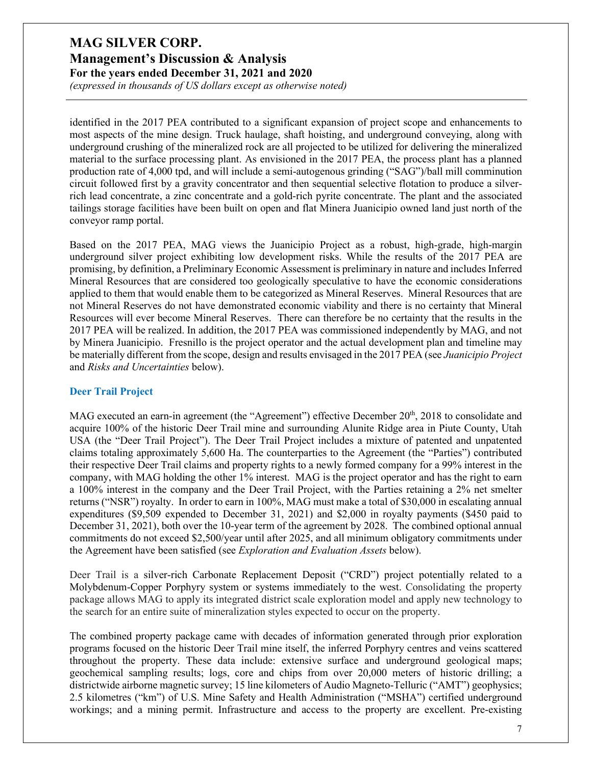*(expressed in thousands of US dollars except as otherwise noted)*

identified in the 2017 PEA contributed to a significant expansion of project scope and enhancements to most aspects of the mine design. Truck haulage, shaft hoisting, and underground conveying, along with underground crushing of the mineralized rock are all projected to be utilized for delivering the mineralized material to the surface processing plant. As envisioned in the 2017 PEA, the process plant has a planned production rate of 4,000 tpd, and will include a semi-autogenous grinding ("SAG")/ball mill comminution circuit followed first by a gravity concentrator and then sequential selective flotation to produce a silverrich lead concentrate, a zinc concentrate and a gold-rich pyrite concentrate. The plant and the associated tailings storage facilities have been built on open and flat Minera Juanicipio owned land just north of the conveyor ramp portal.

Based on the 2017 PEA, MAG views the Juanicipio Project as a robust, high-grade, high-margin underground silver project exhibiting low development risks. While the results of the 2017 PEA are promising, by definition, a Preliminary Economic Assessment is preliminary in nature and includes Inferred Mineral Resources that are considered too geologically speculative to have the economic considerations applied to them that would enable them to be categorized as Mineral Reserves. Mineral Resources that are not Mineral Reserves do not have demonstrated economic viability and there is no certainty that Mineral Resources will ever become Mineral Reserves. There can therefore be no certainty that the results in the 2017 PEA will be realized. In addition, the 2017 PEA was commissioned independently by MAG, and not by Minera Juanicipio. Fresnillo is the project operator and the actual development plan and timeline may be materially different from the scope, design and results envisaged in the 2017 PEA (see *Juanicipio Project* and *Risks and Uncertainties* below).

### **Deer Trail Project**

MAG executed an earn-in agreement (the "Agreement") effective December 20<sup>th</sup>, 2018 to consolidate and acquire 100% of the historic Deer Trail mine and surrounding Alunite Ridge area in Piute County, Utah USA (the "Deer Trail Project"). The Deer Trail Project includes a mixture of patented and unpatented claims totaling approximately 5,600 Ha. The counterparties to the Agreement (the "Parties") contributed their respective Deer Trail claims and property rights to a newly formed company for a 99% interest in the company, with MAG holding the other 1% interest. MAG is the project operator and has the right to earn a 100% interest in the company and the Deer Trail Project, with the Parties retaining a 2% net smelter returns ("NSR") royalty. In order to earn in 100%, MAG must make a total of \$30,000 in escalating annual expenditures (\$9,509 expended to December 31, 2021) and \$2,000 in royalty payments (\$450 paid to December 31, 2021), both over the 10-year term of the agreement by 2028. The combined optional annual commitments do not exceed \$2,500/year until after 2025, and all minimum obligatory commitments under the Agreement have been satisfied (see *Exploration and Evaluation Assets* below).

Deer Trail is a silver-rich Carbonate Replacement Deposit ("CRD") project potentially related to a Molybdenum-Copper Porphyry system or systems immediately to the west. Consolidating the property package allows MAG to apply its integrated district scale exploration model and apply new technology to the search for an entire suite of mineralization styles expected to occur on the property.

The combined property package came with decades of information generated through prior exploration programs focused on the historic Deer Trail mine itself, the inferred Porphyry centres and veins scattered throughout the property. These data include: extensive surface and underground geological maps; geochemical sampling results; logs, core and chips from over 20,000 meters of historic drilling; a districtwide airborne magnetic survey; 15 line kilometers of Audio Magneto-Telluric ("AMT") geophysics; 2.5 kilometres ("km") of U.S. Mine Safety and Health Administration ("MSHA") certified underground workings; and a mining permit. Infrastructure and access to the property are excellent. Pre-existing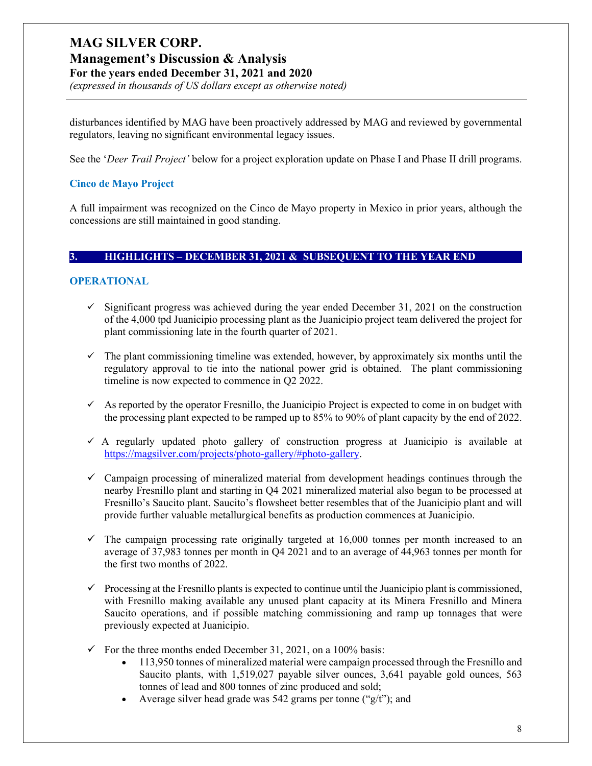## **Management's Discussion & Analysis**

**For the years ended December 31, 2021 and 2020**

*(expressed in thousands of US dollars except as otherwise noted)*

disturbances identified by MAG have been proactively addressed by MAG and reviewed by governmental regulators, leaving no significant environmental legacy issues.

See the '*Deer Trail Project'* below for a project exploration update on Phase I and Phase II drill programs.

### **Cinco de Mayo Project**

A full impairment was recognized on the Cinco de Mayo property in Mexico in prior years, although the concessions are still maintained in good standing.

#### **3. HIGHLIGHTS – DECEMBER 31, 2021 & SUBSEQUENT TO THE YEAR END**

### **OPERATIONAL**

- $\checkmark$  Significant progress was achieved during the year ended December 31, 2021 on the construction of the 4,000 tpd Juanicipio processing plant as the Juanicipio project team delivered the project for plant commissioning late in the fourth quarter of 2021.
- $\checkmark$  The plant commissioning timeline was extended, however, by approximately six months until the regulatory approval to tie into the national power grid is obtained. The plant commissioning timeline is now expected to commence in Q2 2022.
- $\checkmark$  As reported by the operator Fresnillo, the Juanicipio Project is expected to come in on budget with the processing plant expected to be ramped up to 85% to 90% of plant capacity by the end of 2022.
- $\checkmark$  A regularly updated photo gallery of construction progress at Juanicipio is available at [https://magsilver.com/projects/photo-gallery/#photo-gallery.](https://magsilver.com/projects/photo-gallery/#photo-gallery%20y)
- $\checkmark$  Campaign processing of mineralized material from development headings continues through the nearby Fresnillo plant and starting in Q4 2021 mineralized material also began to be processed at Fresnillo's Saucito plant. Saucito's flowsheet better resembles that of the Juanicipio plant and will provide further valuable metallurgical benefits as production commences at Juanicipio.
- $\checkmark$  The campaign processing rate originally targeted at 16,000 tonnes per month increased to an average of 37,983 tonnes per month in Q4 2021 and to an average of 44,963 tonnes per month for the first two months of 2022.
- $\checkmark$  Processing at the Fresnillo plants is expected to continue until the Juanicipio plant is commissioned, with Fresnillo making available any unused plant capacity at its Minera Fresnillo and Minera Saucito operations, and if possible matching commissioning and ramp up tonnages that were previously expected at Juanicipio.
- $\checkmark$  For the three months ended December 31, 2021, on a 100% basis:
	- 113,950 tonnes of mineralized material were campaign processed through the Fresnillo and Saucito plants, with 1,519,027 payable silver ounces, 3,641 payable gold ounces, 563 tonnes of lead and 800 tonnes of zinc produced and sold;
	- Average silver head grade was 542 grams per tonne (" $g/t$ "); and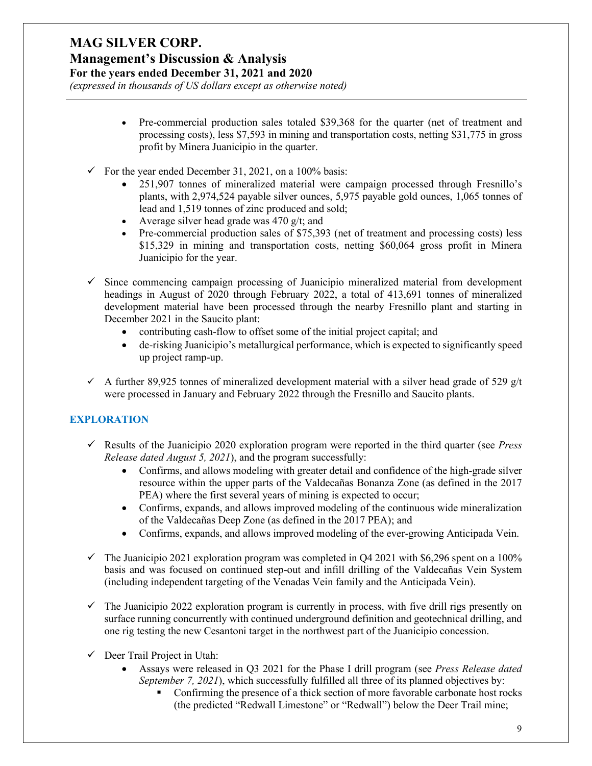### **Management's Discussion & Analysis For the years ended December 31, 2021 and 2020**

*(expressed in thousands of US dollars except as otherwise noted)*

- Pre-commercial production sales totaled \$39,368 for the quarter (net of treatment and processing costs), less \$7,593 in mining and transportation costs, netting \$31,775 in gross profit by Minera Juanicipio in the quarter.
- $\checkmark$  For the year ended December 31, 2021, on a 100% basis:
	- 251,907 tonnes of mineralized material were campaign processed through Fresnillo's plants, with 2,974,524 payable silver ounces, 5,975 payable gold ounces, 1,065 tonnes of lead and 1,519 tonnes of zinc produced and sold;
	- Average silver head grade was 470  $g/t$ ; and
	- Pre-commercial production sales of \$75,393 (net of treatment and processing costs) less \$15,329 in mining and transportation costs, netting \$60,064 gross profit in Minera Juanicipio for the year.
- $\checkmark$  Since commencing campaign processing of Juanicipio mineralized material from development headings in August of 2020 through February 2022, a total of 413,691 tonnes of mineralized development material have been processed through the nearby Fresnillo plant and starting in December 2021 in the Saucito plant:
	- contributing cash-flow to offset some of the initial project capital; and
	- de-risking Juanicipio's metallurgical performance, which is expected to significantly speed up project ramp-up.
- $\checkmark$  A further 89,925 tonnes of mineralized development material with a silver head grade of 529 g/t were processed in January and February 2022 through the Fresnillo and Saucito plants.

## **EXPLORATION**

- Results of the Juanicipio 2020 exploration program were reported in the third quarter (see *Press Release dated August 5, 2021*), and the program successfully:
	- Confirms, and allows modeling with greater detail and confidence of the high-grade silver resource within the upper parts of the Valdecañas Bonanza Zone (as defined in the 2017 PEA) where the first several years of mining is expected to occur;
	- Confirms, expands, and allows improved modeling of the continuous wide mineralization of the Valdecañas Deep Zone (as defined in the 2017 PEA); and
	- Confirms, expands, and allows improved modeling of the ever-growing Anticipada Vein.
- $\checkmark$  The Juanicipio 2021 exploration program was completed in Q4 2021 with \$6,296 spent on a 100% basis and was focused on continued step-out and infill drilling of the Valdecañas Vein System (including independent targeting of the Venadas Vein family and the Anticipada Vein).
- $\checkmark$  The Juanicipio 2022 exploration program is currently in process, with five drill rigs presently on surface running concurrently with continued underground definition and geotechnical drilling, and one rig testing the new Cesantoni target in the northwest part of the Juanicipio concession.
- $\checkmark$  Deer Trail Project in Utah:
	- Assays were released in Q3 2021 for the Phase I drill program (see *Press Release dated September 7, 2021*), which successfully fulfilled all three of its planned objectives by:
		- Confirming the presence of a thick section of more favorable carbonate host rocks (the predicted "Redwall Limestone" or "Redwall") below the Deer Trail mine;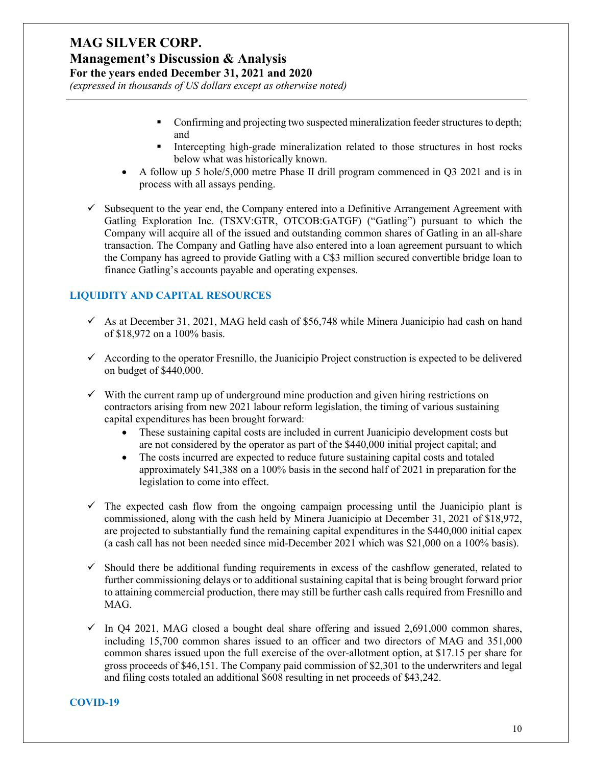# **Management's Discussion & Analysis**

**For the years ended December 31, 2021 and 2020**

*(expressed in thousands of US dollars except as otherwise noted)*

- **Confirming and projecting two suspected mineralization feeder structures to depth;** and
- Intercepting high-grade mineralization related to those structures in host rocks below what was historically known.
- A follow up 5 hole/5,000 metre Phase II drill program commenced in Q3 2021 and is in process with all assays pending.
- $\checkmark$  Subsequent to the year end, the Company entered into a Definitive Arrangement Agreement with Gatling Exploration Inc. (TSXV:GTR, OTCOB:GATGF) ("Gatling") pursuant to which the Company will acquire all of the issued and outstanding common shares of Gatling in an all-share transaction. The Company and Gatling have also entered into a loan agreement pursuant to which the Company has agreed to provide Gatling with a C\$3 million secured convertible bridge loan to finance Gatling's accounts payable and operating expenses.

### **LIQUIDITY AND CAPITAL RESOURCES**

- $\checkmark$  As at December 31, 2021, MAG held cash of \$56,748 while Minera Juanicipio had cash on hand of \$18,972 on a 100% basis.
- $\checkmark$  According to the operator Fresnillo, the Juanicipio Project construction is expected to be delivered on budget of \$440,000.
- $\checkmark$  With the current ramp up of underground mine production and given hiring restrictions on contractors arising from new 2021 labour reform legislation, the timing of various sustaining capital expenditures has been brought forward:
	- These sustaining capital costs are included in current Juanicipio development costs but are not considered by the operator as part of the \$440,000 initial project capital; and
	- The costs incurred are expected to reduce future sustaining capital costs and totaled approximately \$41,388 on a 100% basis in the second half of 2021 in preparation for the legislation to come into effect.
- $\checkmark$  The expected cash flow from the ongoing campaign processing until the Juanicipio plant is commissioned, along with the cash held by Minera Juanicipio at December 31, 2021 of \$18,972, are projected to substantially fund the remaining capital expenditures in the \$440,000 initial capex (a cash call has not been needed since mid-December 2021 which was \$21,000 on a 100% basis).
- $\checkmark$  Should there be additional funding requirements in excess of the cashflow generated, related to further commissioning delays or to additional sustaining capital that is being brought forward prior to attaining commercial production, there may still be further cash calls required from Fresnillo and MAG.
- $\checkmark$  In Q4 2021, MAG closed a bought deal share offering and issued 2,691,000 common shares, including 15,700 common shares issued to an officer and two directors of MAG and 351,000 common shares issued upon the full exercise of the over-allotment option, at \$17.15 per share for gross proceeds of \$46,151. The Company paid commission of \$2,301 to the underwriters and legal and filing costs totaled an additional \$608 resulting in net proceeds of \$43,242.

### **COVID-19**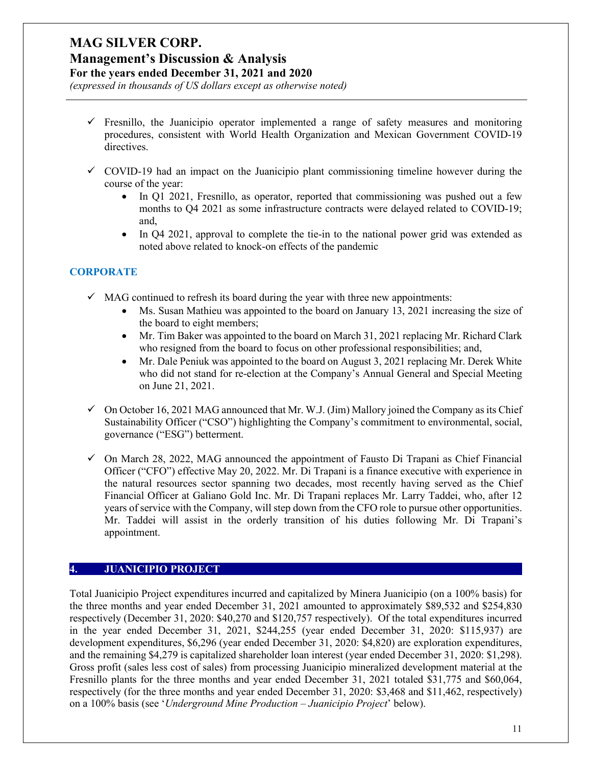# **Management's Discussion & Analysis**

**For the years ended December 31, 2021 and 2020**

*(expressed in thousands of US dollars except as otherwise noted)*

- $\checkmark$  Fresnillo, the Juanicipio operator implemented a range of safety measures and monitoring procedures, consistent with World Health Organization and Mexican Government COVID-19 directives.
- $\checkmark$  COVID-19 had an impact on the Juanicipio plant commissioning timeline however during the course of the year:
	- In Q1 2021, Fresnillo, as operator, reported that commissioning was pushed out a few months to Q4 2021 as some infrastructure contracts were delayed related to COVID-19; and,
	- In Q4 2021, approval to complete the tie-in to the national power grid was extended as noted above related to knock-on effects of the pandemic

### **CORPORATE**

- $\checkmark$  MAG continued to refresh its board during the year with three new appointments:
	- Ms. Susan Mathieu was appointed to the board on January 13, 2021 increasing the size of the board to eight members;
	- Mr. Tim Baker was appointed to the board on March 31, 2021 replacing Mr. Richard Clark who resigned from the board to focus on other professional responsibilities; and,
	- Mr. Dale Peniuk was appointed to the board on August 3, 2021 replacing Mr. Derek White who did not stand for re-election at the Company's Annual General and Special Meeting on June 21, 2021.
- $\checkmark$  On October 16, 2021 MAG announced that Mr. W.J. (Jim) Mallory joined the Company as its Chief Sustainability Officer ("CSO") highlighting the Company's commitment to environmental, social, governance ("ESG") betterment.
- $\checkmark$  On March 28, 2022, MAG announced the appointment of Fausto Di Trapani as Chief Financial Officer ("CFO") effective May 20, 2022. Mr. Di Trapani is a finance executive with experience in the natural resources sector spanning two decades, most recently having served as the Chief Financial Officer at Galiano Gold Inc. Mr. Di Trapani replaces Mr. Larry Taddei, who, after 12 years of service with the Company, will step down from the CFO role to pursue other opportunities. Mr. Taddei will assist in the orderly transition of his duties following Mr. Di Trapani's appointment.

### **4. JUANICIPIO PROJECT**

Total Juanicipio Project expenditures incurred and capitalized by Minera Juanicipio (on a 100% basis) for the three months and year ended December 31, 2021 amounted to approximately \$89,532 and \$254,830 respectively (December 31, 2020: \$40,270 and \$120,757 respectively). Of the total expenditures incurred in the year ended December 31, 2021, \$244,255 (year ended December 31, 2020: \$115,937) are development expenditures, \$6,296 (year ended December 31, 2020: \$4,820) are exploration expenditures, and the remaining \$4,279 is capitalized shareholder loan interest (year ended December 31, 2020: \$1,298). Gross profit (sales less cost of sales) from processing Juanicipio mineralized development material at the Fresnillo plants for the three months and year ended December 31, 2021 totaled \$31,775 and \$60,064, respectively (for the three months and year ended December 31, 2020: \$3,468 and \$11,462, respectively) on a 100% basis (see '*Underground Mine Production – Juanicipio Project*' below).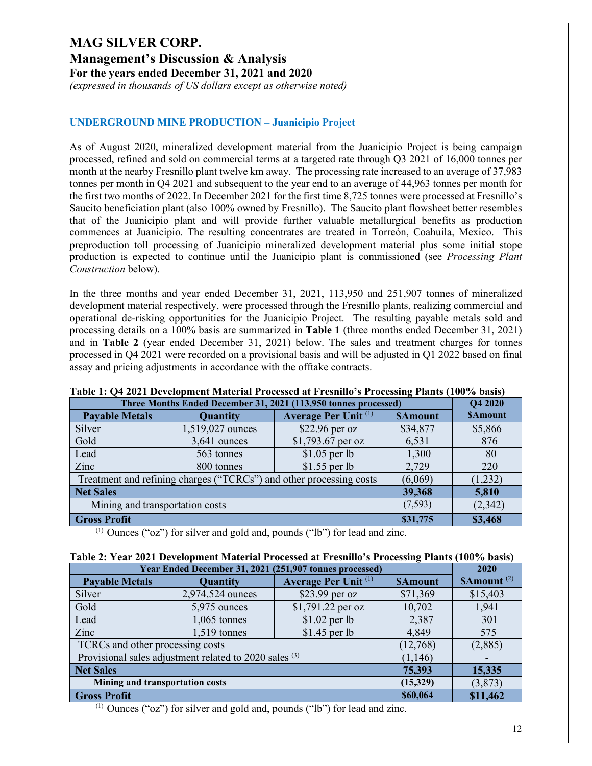**Management's Discussion & Analysis**

**For the years ended December 31, 2021 and 2020**

*(expressed in thousands of US dollars except as otherwise noted)*

### **UNDERGROUND MINE PRODUCTION – Juanicipio Project**

As of August 2020, mineralized development material from the Juanicipio Project is being campaign processed, refined and sold on commercial terms at a targeted rate through Q3 2021 of 16,000 tonnes per month at the nearby Fresnillo plant twelve km away. The processing rate increased to an average of 37,983 tonnes per month in Q4 2021 and subsequent to the year end to an average of 44,963 tonnes per month for the first two months of 2022. In December 2021 for the first time 8,725 tonnes were processed at Fresnillo's Saucito beneficiation plant (also 100% owned by Fresnillo). The Saucito plant flowsheet better resembles that of the Juanicipio plant and will provide further valuable metallurgical benefits as production commences at Juanicipio. The resulting concentrates are treated in Torreón, Coahuila, Mexico. This preproduction toll processing of Juanicipio mineralized development material plus some initial stope production is expected to continue until the Juanicipio plant is commissioned (see *Processing Plant Construction* below).

In the three months and year ended December 31, 2021, 113,950 and 251,907 tonnes of mineralized development material respectively, were processed through the Fresnillo plants, realizing commercial and operational de-risking opportunities for the Juanicipio Project. The resulting payable metals sold and processing details on a 100% basis are summarized in **Table 1** (three months ended December 31, 2021) and in **Table 2** (year ended December 31, 2021) below. The sales and treatment charges for tonnes processed in Q4 2021 were recorded on a provisional basis and will be adjusted in Q1 2022 based on final assay and pricing adjustments in accordance with the offtake contracts.

| Three Months Ended December 31, 2021 (113,950 tonnes processed) |                                                                     |                 |          |         |  |
|-----------------------------------------------------------------|---------------------------------------------------------------------|-----------------|----------|---------|--|
| <b>Payable Metals</b>                                           | Average Per Unit <sup>(1)</sup><br>Quantity<br><b>SAmount</b>       |                 |          |         |  |
| Silver                                                          | 1,519,027 ounces                                                    | $$22.96$ per oz | \$34,877 | \$5,866 |  |
| Gold<br>\$1,793.67 per oz<br>$3,641$ ounces                     |                                                                     | 6,531           | 876      |         |  |
| Lead                                                            | 563 tonnes                                                          | $$1.05$ per lb  | 1,300    | 80      |  |
| Zinc                                                            | $$1.55$ per lb<br>800 tonnes                                        |                 | 2,729    | 220     |  |
|                                                                 | Treatment and refining charges ("TCRCs") and other processing costs |                 | (6,069)  | (1,232) |  |
| Net Sales                                                       |                                                                     |                 | 39,368   | 5,810   |  |
| Mining and transportation costs                                 |                                                                     |                 | (7,593)  | (2,342) |  |
| <b>Gross Profit</b>                                             |                                                                     |                 | \$31,775 | \$3,468 |  |

#### **Table 1: Q4 2021 Development Material Processed at Fresnillo's Processing Plants (100% basis)**

(1) Ounces ("oz") for silver and gold and, pounds ("lb") for lead and zinc.

### **Table 2: Year 2021 Development Material Processed at Fresnillo's Processing Plants (100% basis)**

| Year Ended December 31, 2021 (251,907 tonnes processed) |                                                        |                   |                         |          |  |
|---------------------------------------------------------|--------------------------------------------------------|-------------------|-------------------------|----------|--|
| <b>Payable Metals</b>                                   | Quantity                                               | <b>SAmount</b>    | \$Amount <sup>(2)</sup> |          |  |
| Silver                                                  | 2,974,524 ounces                                       | \$23.99 per oz    | \$71,369                | \$15,403 |  |
| Gold                                                    | 5,975 ounces                                           | \$1,791.22 per oz | 10,702                  | 1,941    |  |
| Lead                                                    | $1,065$ tonnes                                         | $$1.02$ per lb    | 2,387                   | 301      |  |
| Zinc                                                    | $$1.45$ per lb<br>$1,519$ tonnes                       |                   | 4,849                   | 575      |  |
| TCRCs and other processing costs                        | (12,768)                                               | (2,885)           |                         |          |  |
|                                                         | Provisional sales adjustment related to 2020 sales (3) |                   | (1, 146)                |          |  |
| <b>Net Sales</b>                                        |                                                        |                   | 75,393                  | 15,335   |  |
| Mining and transportation costs                         |                                                        |                   | (15,329)                | (3,873)  |  |
| <b>Gross Profit</b>                                     | \$60,064                                               | \$11,462          |                         |          |  |

(1) Ounces ("oz") for silver and gold and, pounds ("lb") for lead and zinc.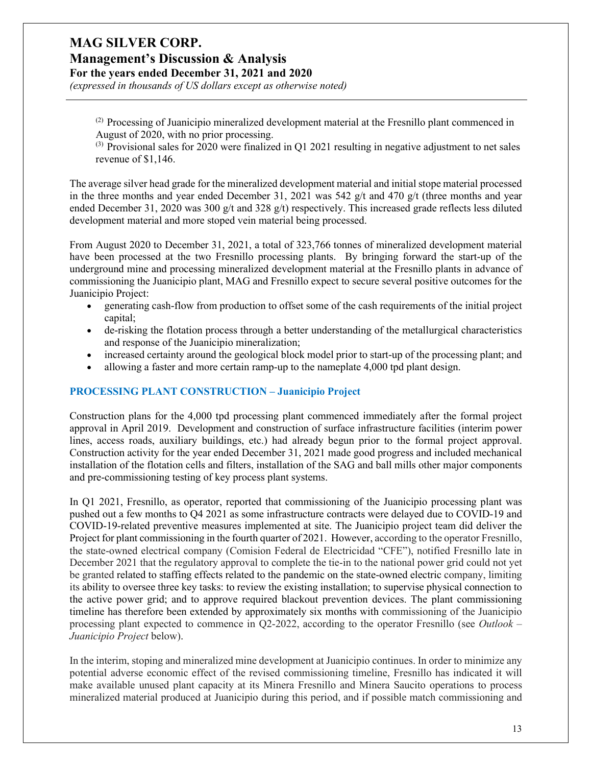# **Management's Discussion & Analysis**

**For the years ended December 31, 2021 and 2020**

*(expressed in thousands of US dollars except as otherwise noted)*

(2) Processing of Juanicipio mineralized development material at the Fresnillo plant commenced in August of 2020, with no prior processing.

 $^{(3)}$  Provisional sales for 2020 were finalized in Q1 2021 resulting in negative adjustment to net sales revenue of \$1,146.

The average silver head grade for the mineralized development material and initial stope material processed in the three months and year ended December 31, 2021 was 542  $g/t$  and 470  $g/t$  (three months and year ended December 31, 2020 was 300  $g/t$  and 328  $g/t$ ) respectively. This increased grade reflects less diluted development material and more stoped vein material being processed.

From August 2020 to December 31, 2021, a total of 323,766 tonnes of mineralized development material have been processed at the two Fresnillo processing plants. By bringing forward the start-up of the underground mine and processing mineralized development material at the Fresnillo plants in advance of commissioning the Juanicipio plant, MAG and Fresnillo expect to secure several positive outcomes for the Juanicipio Project:

- generating cash-flow from production to offset some of the cash requirements of the initial project capital;
- de-risking the flotation process through a better understanding of the metallurgical characteristics and response of the Juanicipio mineralization;
- increased certainty around the geological block model prior to start-up of the processing plant; and
- allowing a faster and more certain ramp-up to the nameplate 4,000 tpd plant design.

### **PROCESSING PLANT CONSTRUCTION – Juanicipio Project**

Construction plans for the 4,000 tpd processing plant commenced immediately after the formal project approval in April 2019. Development and construction of surface infrastructure facilities (interim power lines, access roads, auxiliary buildings, etc.) had already begun prior to the formal project approval. Construction activity for the year ended December 31, 2021 made good progress and included mechanical installation of the flotation cells and filters, installation of the SAG and ball mills other major components and pre-commissioning testing of key process plant systems.

In Q1 2021, Fresnillo, as operator, reported that commissioning of the Juanicipio processing plant was pushed out a few months to Q4 2021 as some infrastructure contracts were delayed due to COVID-19 and COVID-19-related preventive measures implemented at site. The Juanicipio project team did deliver the Project for plant commissioning in the fourth quarter of 2021. However, according to the operator Fresnillo, the state-owned electrical company (Comision Federal de Electricidad "CFE"), notified Fresnillo late in December 2021 that the regulatory approval to complete the tie-in to the national power grid could not yet be granted related to staffing effects related to the pandemic on the state-owned electric company, limiting its ability to oversee three key tasks: to review the existing installation; to supervise physical connection to the active power grid; and to approve required blackout prevention devices. The plant commissioning timeline has therefore been extended by approximately six months with commissioning of the Juanicipio processing plant expected to commence in Q2-2022, according to the operator Fresnillo (see *Outlook – Juanicipio Project* below).

In the interim, stoping and mineralized mine development at Juanicipio continues. In order to minimize any potential adverse economic effect of the revised commissioning timeline, Fresnillo has indicated it will make available unused plant capacity at its Minera Fresnillo and Minera Saucito operations to process mineralized material produced at Juanicipio during this period, and if possible match commissioning and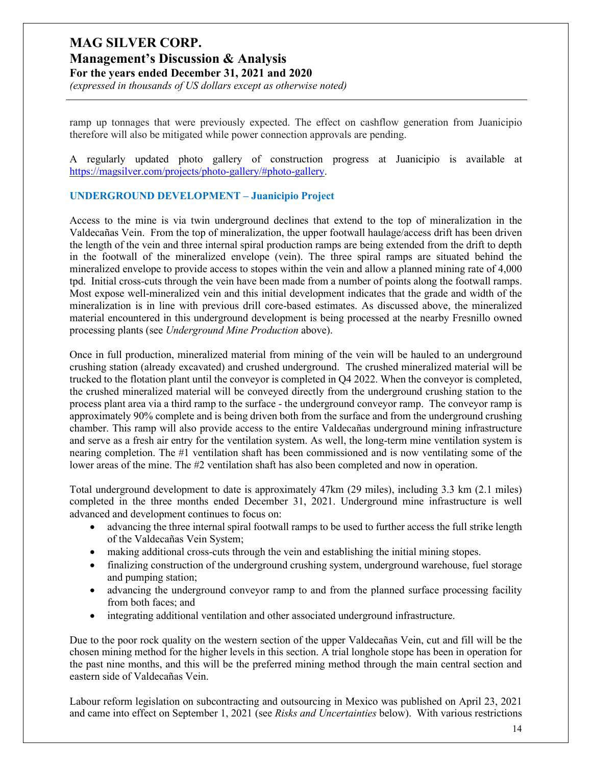# **Management's Discussion & Analysis**

**For the years ended December 31, 2021 and 2020**

*(expressed in thousands of US dollars except as otherwise noted)*

ramp up tonnages that were previously expected. The effect on cashflow generation from Juanicipio therefore will also be mitigated while power connection approvals are pending.

A regularly updated photo gallery of construction progress at Juanicipio is available at [https://magsilver.com/projects/photo-gallery/#photo-gallery.](https://magsilver.com/projects/photo-gallery/#photo-gallery)

#### **UNDERGROUND DEVELOPMENT – Juanicipio Project**

Access to the mine is via twin underground declines that extend to the top of mineralization in the Valdecañas Vein. From the top of mineralization, the upper footwall haulage/access drift has been driven the length of the vein and three internal spiral production ramps are being extended from the drift to depth in the footwall of the mineralized envelope (vein). The three spiral ramps are situated behind the mineralized envelope to provide access to stopes within the vein and allow a planned mining rate of 4,000 tpd. Initial cross-cuts through the vein have been made from a number of points along the footwall ramps. Most expose well-mineralized vein and this initial development indicates that the grade and width of the mineralization is in line with previous drill core-based estimates. As discussed above, the mineralized material encountered in this underground development is being processed at the nearby Fresnillo owned processing plants (see *Underground Mine Production* above).

Once in full production, mineralized material from mining of the vein will be hauled to an underground crushing station (already excavated) and crushed underground. The crushed mineralized material will be trucked to the flotation plant until the conveyor is completed in Q4 2022. When the conveyor is completed, the crushed mineralized material will be conveyed directly from the underground crushing station to the process plant area via a third ramp to the surface - the underground conveyor ramp. The conveyor ramp is approximately 90% complete and is being driven both from the surface and from the underground crushing chamber. This ramp will also provide access to the entire Valdecañas underground mining infrastructure and serve as a fresh air entry for the ventilation system. As well, the long-term mine ventilation system is nearing completion. The #1 ventilation shaft has been commissioned and is now ventilating some of the lower areas of the mine. The #2 ventilation shaft has also been completed and now in operation.

Total underground development to date is approximately 47km (29 miles), including 3.3 km (2.1 miles) completed in the three months ended December 31, 2021. Underground mine infrastructure is well advanced and development continues to focus on:

- advancing the three internal spiral footwall ramps to be used to further access the full strike length of the Valdecañas Vein System;
- making additional cross-cuts through the vein and establishing the initial mining stopes.
- finalizing construction of the underground crushing system, underground warehouse, fuel storage and pumping station;
- advancing the underground conveyor ramp to and from the planned surface processing facility from both faces; and
- integrating additional ventilation and other associated underground infrastructure.

Due to the poor rock quality on the western section of the upper Valdecañas Vein, cut and fill will be the chosen mining method for the higher levels in this section. A trial longhole stope has been in operation for the past nine months, and this will be the preferred mining method through the main central section and eastern side of Valdecañas Vein.

Labour reform legislation on subcontracting and outsourcing in Mexico was published on April 23, 2021 and came into effect on September 1, 2021 (see *Risks and Uncertainties* below). With various restrictions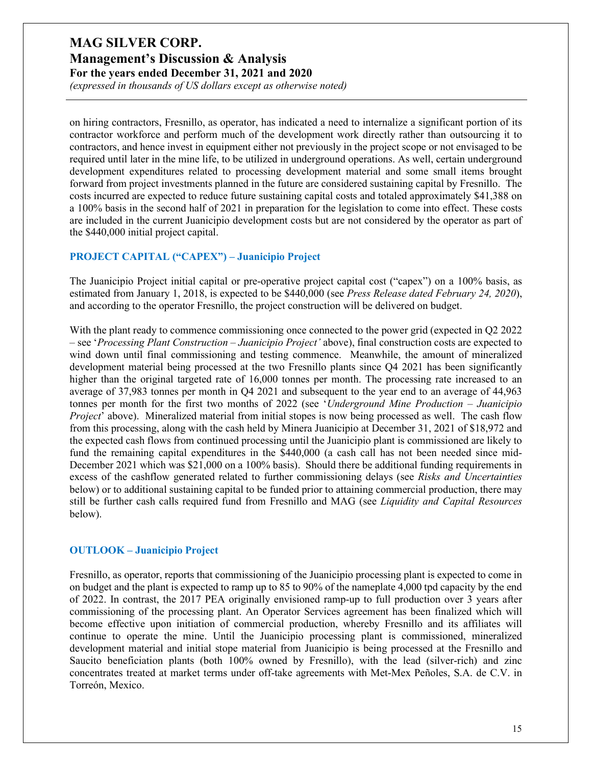*(expressed in thousands of US dollars except as otherwise noted)*

on hiring contractors, Fresnillo, as operator, has indicated a need to internalize a significant portion of its contractor workforce and perform much of the development work directly rather than outsourcing it to contractors, and hence invest in equipment either not previously in the project scope or not envisaged to be required until later in the mine life, to be utilized in underground operations. As well, certain underground development expenditures related to processing development material and some small items brought forward from project investments planned in the future are considered sustaining capital by Fresnillo. The costs incurred are expected to reduce future sustaining capital costs and totaled approximately \$41,388 on a 100% basis in the second half of 2021 in preparation for the legislation to come into effect. These costs are included in the current Juanicipio development costs but are not considered by the operator as part of the \$440,000 initial project capital.

#### **PROJECT CAPITAL ("CAPEX") – Juanicipio Project**

The Juanicipio Project initial capital or pre-operative project capital cost ("capex") on a 100% basis, as estimated from January 1, 2018, is expected to be \$440,000 (see *Press Release dated February 24, 2020*), and according to the operator Fresnillo, the project construction will be delivered on budget.

With the plant ready to commence commissioning once connected to the power grid (expected in Q2 2022) – see '*Processing Plant Construction – Juanicipio Project'* above), final construction costs are expected to wind down until final commissioning and testing commence. Meanwhile, the amount of mineralized development material being processed at the two Fresnillo plants since Q4 2021 has been significantly higher than the original targeted rate of 16,000 tonnes per month. The processing rate increased to an average of 37,983 tonnes per month in Q4 2021 and subsequent to the year end to an average of 44,963 tonnes per month for the first two months of 2022 (see '*Underground Mine Production – Juanicipio Project*' above). Mineralized material from initial stopes is now being processed as well. The cash flow from this processing, along with the cash held by Minera Juanicipio at December 31, 2021 of \$18,972 and the expected cash flows from continued processing until the Juanicipio plant is commissioned are likely to fund the remaining capital expenditures in the \$440,000 (a cash call has not been needed since mid-December 2021 which was \$21,000 on a 100% basis). Should there be additional funding requirements in excess of the cashflow generated related to further commissioning delays (see *Risks and Uncertainties* below) or to additional sustaining capital to be funded prior to attaining commercial production, there may still be further cash calls required fund from Fresnillo and MAG (see *Liquidity and Capital Resources* below).

#### **OUTLOOK – Juanicipio Project**

Fresnillo, as operator, reports that commissioning of the Juanicipio processing plant is expected to come in on budget and the plant is expected to ramp up to 85 to 90% of the nameplate 4,000 tpd capacity by the end of 2022. In contrast, the 2017 PEA originally envisioned ramp-up to full production over 3 years after commissioning of the processing plant. An Operator Services agreement has been finalized which will become effective upon initiation of commercial production, whereby Fresnillo and its affiliates will continue to operate the mine. Until the Juanicipio processing plant is commissioned, mineralized development material and initial stope material from Juanicipio is being processed at the Fresnillo and Saucito beneficiation plants (both 100% owned by Fresnillo), with the lead (silver-rich) and zinc concentrates treated at market terms under off-take agreements with Met-Mex Peñoles, S.A. de C.V. in Torreón, Mexico.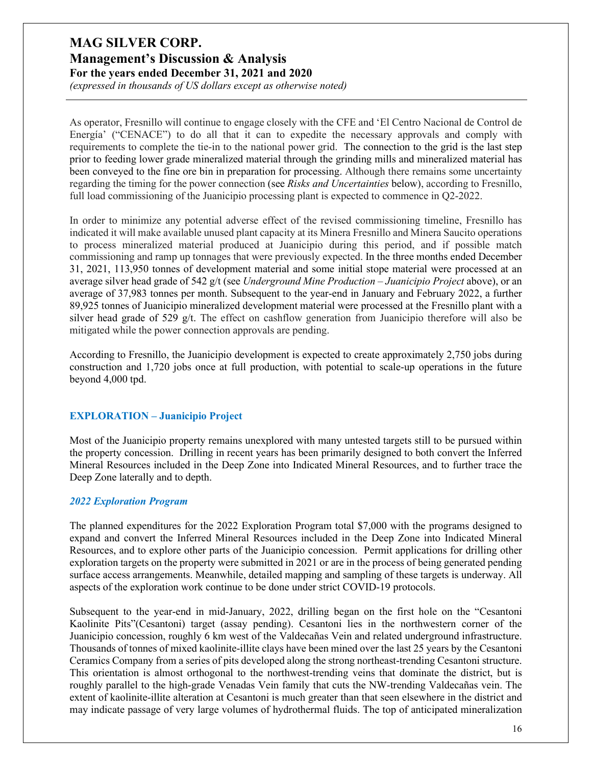*(expressed in thousands of US dollars except as otherwise noted)*

As operator, Fresnillo will continue to engage closely with the CFE and 'El Centro Nacional de Control de Energía' ("CENACE") to do all that it can to expedite the necessary approvals and comply with requirements to complete the tie-in to the national power grid. The connection to the grid is the last step prior to feeding lower grade mineralized material through the grinding mills and mineralized material has been conveyed to the fine ore bin in preparation for processing. Although there remains some uncertainty regarding the timing for the power connection (see *Risks and Uncertainties* below), according to Fresnillo, full load commissioning of the Juanicipio processing plant is expected to commence in Q2-2022.

In order to minimize any potential adverse effect of the revised commissioning timeline, Fresnillo has indicated it will make available unused plant capacity at its Minera Fresnillo and Minera Saucito operations to process mineralized material produced at Juanicipio during this period, and if possible match commissioning and ramp up tonnages that were previously expected. In the three months ended December 31, 2021, 113,950 tonnes of development material and some initial stope material were processed at an average silver head grade of 542 g/t (see *Underground Mine Production – Juanicipio Project* above), or an average of 37,983 tonnes per month. Subsequent to the year-end in January and February 2022, a further 89,925 tonnes of Juanicipio mineralized development material were processed at the Fresnillo plant with a silver head grade of 529 g/t. The effect on cashflow generation from Juanicipio therefore will also be mitigated while the power connection approvals are pending.

According to Fresnillo, the Juanicipio development is expected to create approximately 2,750 jobs during construction and 1,720 jobs once at full production, with potential to scale-up operations in the future beyond 4,000 tpd.

### **EXPLORATION – Juanicipio Project**

Most of the Juanicipio property remains unexplored with many untested targets still to be pursued within the property concession. Drilling in recent years has been primarily designed to both convert the Inferred Mineral Resources included in the Deep Zone into Indicated Mineral Resources, and to further trace the Deep Zone laterally and to depth.

#### *2022 Exploration Program*

The planned expenditures for the 2022 Exploration Program total \$7,000 with the programs designed to expand and convert the Inferred Mineral Resources included in the Deep Zone into Indicated Mineral Resources, and to explore other parts of the Juanicipio concession. Permit applications for drilling other exploration targets on the property were submitted in 2021 or are in the process of being generated pending surface access arrangements. Meanwhile, detailed mapping and sampling of these targets is underway. All aspects of the exploration work continue to be done under strict COVID-19 protocols.

Subsequent to the year-end in mid-January, 2022, drilling began on the first hole on the "Cesantoni Kaolinite Pits"(Cesantoni) target (assay pending). Cesantoni lies in the northwestern corner of the Juanicipio concession, roughly 6 km west of the Valdecañas Vein and related underground infrastructure. Thousands of tonnes of mixed kaolinite-illite clays have been mined over the last 25 years by the Cesantoni Ceramics Company from a series of pits developed along the strong northeast-trending Cesantoni structure. This orientation is almost orthogonal to the northwest-trending veins that dominate the district, but is roughly parallel to the high-grade Venadas Vein family that cuts the NW-trending Valdecañas vein. The extent of kaolinite-illite alteration at Cesantoni is much greater than that seen elsewhere in the district and may indicate passage of very large volumes of hydrothermal fluids. The top of anticipated mineralization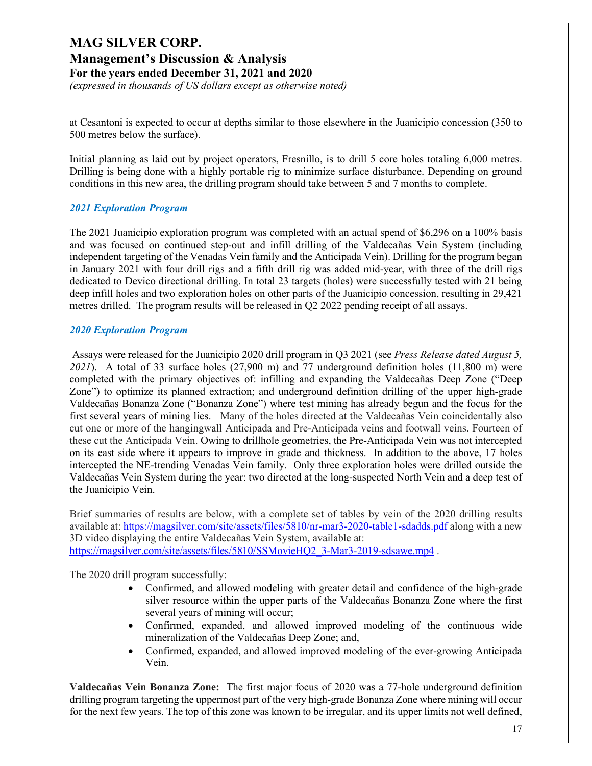# **MAG SILVER CORP. Management's Discussion & Analysis**

**For the years ended December 31, 2021 and 2020**

*(expressed in thousands of US dollars except as otherwise noted)*

at Cesantoni is expected to occur at depths similar to those elsewhere in the Juanicipio concession (350 to 500 metres below the surface).

Initial planning as laid out by project operators, Fresnillo, is to drill 5 core holes totaling 6,000 metres. Drilling is being done with a highly portable rig to minimize surface disturbance. Depending on ground conditions in this new area, the drilling program should take between 5 and 7 months to complete.

#### *2021 Exploration Program*

The 2021 Juanicipio exploration program was completed with an actual spend of \$6,296 on a 100% basis and was focused on continued step-out and infill drilling of the Valdecañas Vein System (including independent targeting of the Venadas Vein family and the Anticipada Vein). Drilling for the program began in January 2021 with four drill rigs and a fifth drill rig was added mid-year, with three of the drill rigs dedicated to Devico directional drilling. In total 23 targets (holes) were successfully tested with 21 being deep infill holes and two exploration holes on other parts of the Juanicipio concession, resulting in 29,421 metres drilled. The program results will be released in Q2 2022 pending receipt of all assays.

#### *2020 Exploration Program*

Assays were released for the Juanicipio 2020 drill program in Q3 2021 (see *Press Release dated August 5, 2021*). A total of 33 surface holes (27,900 m) and 77 underground definition holes (11,800 m) were completed with the primary objectives of: infilling and expanding the Valdecañas Deep Zone ("Deep Zone") to optimize its planned extraction; and underground definition drilling of the upper high-grade Valdecañas Bonanza Zone ("Bonanza Zone") where test mining has already begun and the focus for the first several years of mining lies. Many of the holes directed at the Valdecañas Vein coincidentally also cut one or more of the hangingwall Anticipada and Pre-Anticipada veins and footwall veins. Fourteen of these cut the Anticipada Vein. Owing to drillhole geometries, the Pre-Anticipada Vein was not intercepted on its east side where it appears to improve in grade and thickness. In addition to the above, 17 holes intercepted the NE-trending Venadas Vein family. Only three exploration holes were drilled outside the Valdecañas Vein System during the year: two directed at the long-suspected North Vein and a deep test of the Juanicipio Vein.

Brief summaries of results are below, with a complete set of tables by vein of the 2020 drilling results available at[: https://magsilver.com/site/assets/files/5810/nr-mar3-2020-table1-sdadds.pdf](https://magsilver.com/site/assets/files/5810/nr-mar3-2020-table1-sdadds.pdf) along with a new 3D video displaying the entire Valdecañas Vein System, available at: https://magsilver.com/site/assets/files/5810/SSMovieHQ2\_3-Mar3-2019-sdsawe.mp4.

The 2020 drill program successfully:

- Confirmed, and allowed modeling with greater detail and confidence of the high-grade silver resource within the upper parts of the Valdecañas Bonanza Zone where the first several years of mining will occur;
- Confirmed, expanded, and allowed improved modeling of the continuous wide mineralization of the Valdecañas Deep Zone; and,
- Confirmed, expanded, and allowed improved modeling of the ever-growing Anticipada Vein.

**Valdecañas Vein Bonanza Zone:** The first major focus of 2020 was a 77-hole underground definition drilling program targeting the uppermost part of the very high-grade Bonanza Zone where mining will occur for the next few years. The top of this zone was known to be irregular, and its upper limits not well defined,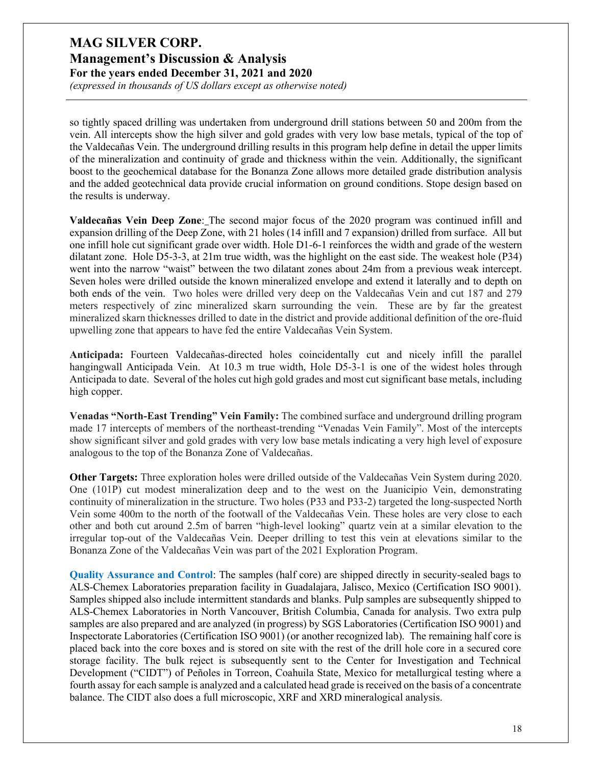*(expressed in thousands of US dollars except as otherwise noted)*

so tightly spaced drilling was undertaken from underground drill stations between 50 and 200m from the vein. All intercepts show the high silver and gold grades with very low base metals, typical of the top of the Valdecañas Vein. The underground drilling results in this program help define in detail the upper limits of the mineralization and continuity of grade and thickness within the vein. Additionally, the significant boost to the geochemical database for the Bonanza Zone allows more detailed grade distribution analysis and the added geotechnical data provide crucial information on ground conditions. Stope design based on the results is underway.

**Valdecañas Vein Deep Zone**: The second major focus of the 2020 program was continued infill and expansion drilling of the Deep Zone, with 21 holes (14 infill and 7 expansion) drilled from surface. All but one infill hole cut significant grade over width. Hole D1-6-1 reinforces the width and grade of the western dilatant zone. Hole D5-3-3, at 21m true width, was the highlight on the east side. The weakest hole (P34) went into the narrow "waist" between the two dilatant zones about 24m from a previous weak intercept. Seven holes were drilled outside the known mineralized envelope and extend it laterally and to depth on both ends of the vein. Two holes were drilled very deep on the Valdecañas Vein and cut 187 and 279 meters respectively of zinc mineralized skarn surrounding the vein. These are by far the greatest mineralized skarn thicknesses drilled to date in the district and provide additional definition of the ore-fluid upwelling zone that appears to have fed the entire Valdecañas Vein System.

**Anticipada:** Fourteen Valdecañas-directed holes coincidentally cut and nicely infill the parallel hangingwall Anticipada Vein. At 10.3 m true width, Hole D5-3-1 is one of the widest holes through Anticipada to date. Several of the holes cut high gold grades and most cut significant base metals, including high copper.

**Venadas "North-East Trending" Vein Family:** The combined surface and underground drilling program made 17 intercepts of members of the northeast-trending "Venadas Vein Family". Most of the intercepts show significant silver and gold grades with very low base metals indicating a very high level of exposure analogous to the top of the Bonanza Zone of Valdecañas.

**Other Targets:** Three exploration holes were drilled outside of the Valdecañas Vein System during 2020. One (101P) cut modest mineralization deep and to the west on the Juanicipio Vein, demonstrating continuity of mineralization in the structure. Two holes (P33 and P33-2) targeted the long-suspected North Vein some 400m to the north of the footwall of the Valdecañas Vein. These holes are very close to each other and both cut around 2.5m of barren "high-level looking" quartz vein at a similar elevation to the irregular top-out of the Valdecañas Vein. Deeper drilling to test this vein at elevations similar to the Bonanza Zone of the Valdecañas Vein was part of the 2021 Exploration Program.

**Quality Assurance and Control**: The samples (half core) are shipped directly in security-sealed bags to ALS-Chemex Laboratories preparation facility in Guadalajara, Jalisco, Mexico (Certification ISO 9001). Samples shipped also include intermittent standards and blanks. Pulp samples are subsequently shipped to ALS-Chemex Laboratories in North Vancouver, British Columbia, Canada for analysis. Two extra pulp samples are also prepared and are analyzed (in progress) by SGS Laboratories (Certification ISO 9001) and Inspectorate Laboratories (Certification ISO 9001) (or another recognized lab). The remaining half core is placed back into the core boxes and is stored on site with the rest of the drill hole core in a secured core storage facility. The bulk reject is subsequently sent to the Center for Investigation and Technical Development ("CIDT") of Peñoles in Torreon, Coahuila State, Mexico for metallurgical testing where a fourth assay for each sample is analyzed and a calculated head grade is received on the basis of a concentrate balance. The CIDT also does a full microscopic, XRF and XRD mineralogical analysis.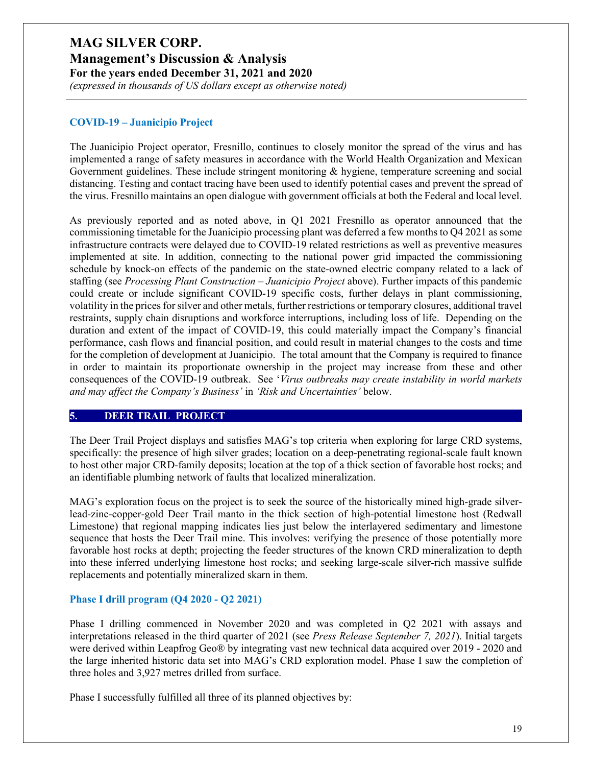**Management's Discussion & Analysis**

**For the years ended December 31, 2021 and 2020**

*(expressed in thousands of US dollars except as otherwise noted)*

### **COVID-19 – Juanicipio Project**

The Juanicipio Project operator, Fresnillo, continues to closely monitor the spread of the virus and has implemented a range of safety measures in accordance with the World Health Organization and Mexican Government guidelines. These include stringent monitoring & hygiene, temperature screening and social distancing. Testing and contact tracing have been used to identify potential cases and prevent the spread of the virus. Fresnillo maintains an open dialogue with government officials at both the Federal and local level.

As previously reported and as noted above, in Q1 2021 Fresnillo as operator announced that the commissioning timetable for the Juanicipio processing plant was deferred a few months to Q4 2021 as some infrastructure contracts were delayed due to COVID-19 related restrictions as well as preventive measures implemented at site. In addition, connecting to the national power grid impacted the commissioning schedule by knock-on effects of the pandemic on the state-owned electric company related to a lack of staffing (see *Processing Plant Construction – Juanicipio Project* above). Further impacts of this pandemic could create or include significant COVID-19 specific costs, further delays in plant commissioning, volatility in the prices for silver and other metals, further restrictions or temporary closures, additional travel restraints, supply chain disruptions and workforce interruptions, including loss of life. Depending on the duration and extent of the impact of COVID-19, this could materially impact the Company's financial performance, cash flows and financial position, and could result in material changes to the costs and time for the completion of development at Juanicipio. The total amount that the Company is required to finance in order to maintain its proportionate ownership in the project may increase from these and other consequences of the COVID-19 outbreak. See '*Virus outbreaks may create instability in world markets and may affect the Company's Business'* in *'Risk and Uncertainties'* below.

#### **5. DEER TRAIL PROJECT**

The Deer Trail Project displays and satisfies MAG's top criteria when exploring for large CRD systems, specifically: the presence of high silver grades; location on a deep-penetrating regional-scale fault known to host other major CRD-family deposits; location at the top of a thick section of favorable host rocks; and an identifiable plumbing network of faults that localized mineralization.

MAG's exploration focus on the project is to seek the source of the historically mined high-grade silverlead-zinc-copper-gold Deer Trail manto in the thick section of high-potential limestone host (Redwall Limestone) that regional mapping indicates lies just below the interlayered sedimentary and limestone sequence that hosts the Deer Trail mine. This involves: verifying the presence of those potentially more favorable host rocks at depth; projecting the feeder structures of the known CRD mineralization to depth into these inferred underlying limestone host rocks; and seeking large-scale silver-rich massive sulfide replacements and potentially mineralized skarn in them.

### **Phase I drill program (Q4 2020 - Q2 2021)**

Phase I drilling commenced in November 2020 and was completed in Q2 2021 with assays and interpretations released in the third quarter of 2021 (see *Press Release September 7, 2021*). Initial targets were derived within Leapfrog Geo® by integrating vast new technical data acquired over 2019 - 2020 and the large inherited historic data set into MAG's CRD exploration model. Phase I saw the completion of three holes and 3,927 metres drilled from surface.

Phase I successfully fulfilled all three of its planned objectives by: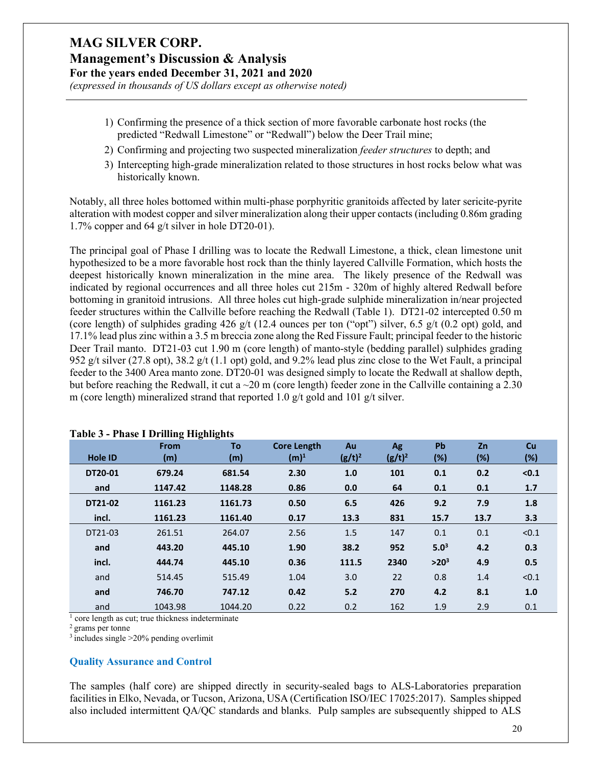*(expressed in thousands of US dollars except as otherwise noted)*

- 1) Confirming the presence of a thick section of more favorable carbonate host rocks (the predicted "Redwall Limestone" or "Redwall") below the Deer Trail mine;
- 2) Confirming and projecting two suspected mineralization *feeder structures* to depth; and
- 3) Intercepting high-grade mineralization related to those structures in host rocks below what was historically known.

Notably, all three holes bottomed within multi-phase porphyritic granitoids affected by later sericite-pyrite alteration with modest copper and silver mineralization along their upper contacts (including 0.86m grading 1.7% copper and 64 g/t silver in hole DT20-01).

The principal goal of Phase I drilling was to locate the Redwall Limestone, a thick, clean limestone unit hypothesized to be a more favorable host rock than the thinly layered Callville Formation, which hosts the deepest historically known mineralization in the mine area. The likely presence of the Redwall was indicated by regional occurrences and all three holes cut 215m - 320m of highly altered Redwall before bottoming in granitoid intrusions. All three holes cut high-grade sulphide mineralization in/near projected feeder structures within the Callville before reaching the Redwall (Table 1). DT21-02 intercepted 0.50 m (core length) of sulphides grading 426 g/t (12.4 ounces per ton ("opt") silver, 6.5 g/t (0.2 opt) gold, and 17.1% lead plus zinc within a 3.5 m breccia zone along the Red Fissure Fault; principal feeder to the historic Deer Trail manto. DT21-03 cut 1.90 m (core length) of manto-style (bedding parallel) sulphides grading 952 g/t silver (27.8 opt), 38.2 g/t (1.1 opt) gold, and 9.2% lead plus zinc close to the Wet Fault, a principal feeder to the 3400 Area manto zone. DT20-01 was designed simply to locate the Redwall at shallow depth, but before reaching the Redwall, it cut a  $\sim 20$  m (core length) feeder zone in the Callville containing a 2.30 m (core length) mineralized strand that reported 1.0 g/t gold and 101 g/t silver.

|                | -<br>0<br><b>From</b> | -<br>To | <b>Core Length</b> | Au        | Ag        | <b>Pb</b> | Zn     | Cu    |
|----------------|-----------------------|---------|--------------------|-----------|-----------|-----------|--------|-------|
| <b>Hole ID</b> | (m)                   | (m)     | $(m)^1$            | $(g/t)^2$ | $(g/t)^2$ | (%)       | $(\%)$ | (%)   |
| DT20-01        | 679.24                | 681.54  | 2.30               | 1.0       | 101       | 0.1       | 0.2    | < 0.1 |
| and            | 1147.42               | 1148.28 | 0.86               | 0.0       | 64        | 0.1       | 0.1    | 1.7   |
| DT21-02        | 1161.23               | 1161.73 | 0.50               | 6.5       | 426       | 9.2       | 7.9    | 1.8   |
| incl.          | 1161.23               | 1161.40 | 0.17               | 13.3      | 831       | 15.7      | 13.7   | 3.3   |
| DT21-03        | 261.51                | 264.07  | 2.56               | 1.5       | 147       | 0.1       | 0.1    | < 0.1 |
| and            | 443.20                | 445.10  | 1.90               | 38.2      | 952       | $5.0^3$   | 4.2    | 0.3   |
| incl.          | 444.74                | 445.10  | 0.36               | 111.5     | 2340      | $>20^3$   | 4.9    | 0.5   |
| and            | 514.45                | 515.49  | 1.04               | 3.0       | 22        | 0.8       | 1.4    | < 0.1 |
| and            | 746.70                | 747.12  | 0.42               | 5.2       | 270       | 4.2       | 8.1    | 1.0   |
| and            | 1043.98               | 1044.20 | 0.22               | 0.2       | 162       | 1.9       | 2.9    | 0.1   |

#### **Table 3 - Phase I Drilling Highlights**

 $<sup>1</sup>$  core length as cut; true thickness indeterminate</sup>

2 grams per tonne

 $3$  includes single  $>20\%$  pending overlimit

### **Quality Assurance and Control**

The samples (half core) are shipped directly in security-sealed bags to ALS-Laboratories preparation facilities in Elko, Nevada, or Tucson, Arizona, USA (Certification ISO/IEC 17025:2017). Samples shipped also included intermittent QA/QC standards and blanks. Pulp samples are subsequently shipped to ALS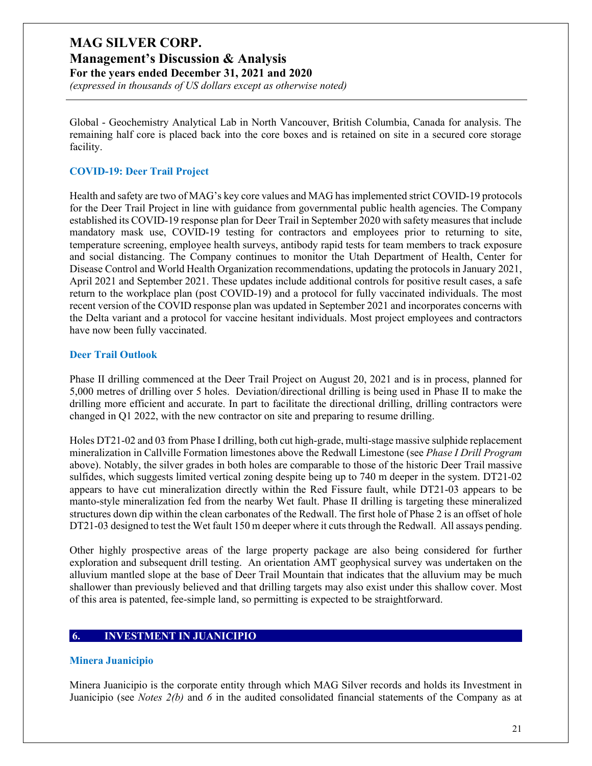### **Management's Discussion & Analysis**

**For the years ended December 31, 2021 and 2020**

*(expressed in thousands of US dollars except as otherwise noted)*

Global - Geochemistry Analytical Lab in North Vancouver, British Columbia, Canada for analysis. The remaining half core is placed back into the core boxes and is retained on site in a secured core storage facility.

#### **COVID-19: Deer Trail Project**

Health and safety are two of MAG's key core values and MAG has implemented strict COVID-19 protocols for the Deer Trail Project in line with guidance from governmental public health agencies. The Company established its COVID-19 response plan for Deer Trail in September 2020 with safety measures that include mandatory mask use, COVID-19 testing for contractors and employees prior to returning to site, temperature screening, employee health surveys, antibody rapid tests for team members to track exposure and social distancing. The Company continues to monitor the Utah Department of Health, Center for Disease Control and World Health Organization recommendations, updating the protocols in January 2021, April 2021 and September 2021. These updates include additional controls for positive result cases, a safe return to the workplace plan (post COVID-19) and a protocol for fully vaccinated individuals. The most recent version of the COVID response plan was updated in September 2021 and incorporates concerns with the Delta variant and a protocol for vaccine hesitant individuals. Most project employees and contractors have now been fully vaccinated.

#### **Deer Trail Outlook**

Phase II drilling commenced at the Deer Trail Project on August 20, 2021 and is in process, planned for 5,000 metres of drilling over 5 holes. Deviation/directional drilling is being used in Phase II to make the drilling more efficient and accurate. In part to facilitate the directional drilling, drilling contractors were changed in Q1 2022, with the new contractor on site and preparing to resume drilling.

Holes DT21-02 and 03 from Phase I drilling, both cut high-grade, multi-stage massive sulphide replacement mineralization in Callville Formation limestones above the Redwall Limestone (see *Phase I Drill Program* above). Notably, the silver grades in both holes are comparable to those of the historic Deer Trail massive sulfides, which suggests limited vertical zoning despite being up to 740 m deeper in the system. DT21-02 appears to have cut mineralization directly within the Red Fissure fault, while DT21-03 appears to be manto-style mineralization fed from the nearby Wet fault. Phase II drilling is targeting these mineralized structures down dip within the clean carbonates of the Redwall. The first hole of Phase 2 is an offset of hole DT21-03 designed to test the Wet fault 150 m deeper where it cuts through the Redwall. All assays pending.

Other highly prospective areas of the large property package are also being considered for further exploration and subsequent drill testing. An orientation AMT geophysical survey was undertaken on the alluvium mantled slope at the base of Deer Trail Mountain that indicates that the alluvium may be much shallower than previously believed and that drilling targets may also exist under this shallow cover. Most of this area is patented, fee-simple land, so permitting is expected to be straightforward.

### **6. INVESTMENT IN JUANICIPIO**

#### **Minera Juanicipio**

Minera Juanicipio is the corporate entity through which MAG Silver records and holds its Investment in Juanicipio (see *Notes 2(b)* and *6* in the audited consolidated financial statements of the Company as at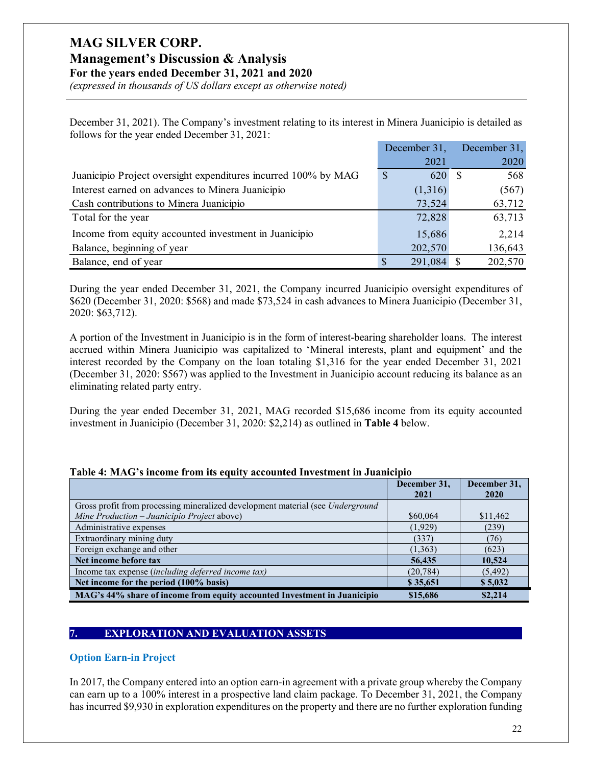# **Management's Discussion & Analysis**

**For the years ended December 31, 2021 and 2020**

*(expressed in thousands of US dollars except as otherwise noted)*

December 31, 2021). The Company's investment relating to its interest in Minera Juanicipio is detailed as follows for the year ended December 31, 2021:

|                                                                | December 31,        | December 31, |
|----------------------------------------------------------------|---------------------|--------------|
|                                                                | 2021                | 2020         |
| Juanicipio Project oversight expenditures incurred 100% by MAG | $\mathbb{S}$<br>620 | 568          |
| Interest earned on advances to Minera Juanicipio               | (1,316)             | (567)        |
| Cash contributions to Minera Juanicipio                        | 73,524              | 63,712       |
| Total for the year                                             | 72,828              | 63,713       |
| Income from equity accounted investment in Juanicipio          | 15,686              | 2,214        |
| Balance, beginning of year                                     | 202,570             | 136,643      |
| Balance, end of year                                           | 291,084             | 202,570      |

During the year ended December 31, 2021, the Company incurred Juanicipio oversight expenditures of \$620 (December 31, 2020: \$568) and made \$73,524 in cash advances to Minera Juanicipio (December 31, 2020: \$63,712).

A portion of the Investment in Juanicipio is in the form of interest-bearing shareholder loans. The interest accrued within Minera Juanicipio was capitalized to 'Mineral interests, plant and equipment' and the interest recorded by the Company on the loan totaling \$1,316 for the year ended December 31, 2021 (December 31, 2020: \$567) was applied to the Investment in Juanicipio account reducing its balance as an eliminating related party entry.

During the year ended December 31, 2021, MAG recorded \$15,686 income from its equity accounted investment in Juanicipio (December 31, 2020: \$2,214) as outlined in **Table 4** below.

|                                                                                | December 31,<br>2021 | December 31,<br><b>2020</b> |
|--------------------------------------------------------------------------------|----------------------|-----------------------------|
| Gross profit from processing mineralized development material (see Underground |                      |                             |
| Mine Production – Juanicipio Project above)                                    | \$60,064             | \$11,462                    |
| Administrative expenses                                                        | (1,929)              | (239)                       |
| Extraordinary mining duty                                                      | (337)                | (76)                        |
| Foreign exchange and other                                                     | (1, 363)             | (623)                       |
| Net income before tax                                                          | 56,435               | 10,524                      |
| Income tax expense (including deferred income tax)                             | (20, 784)            | (5, 492)                    |
| Net income for the period (100% basis)                                         | \$35,651             | \$5,032                     |
| MAG's 44% share of income from equity accounted Investment in Juanicipio       | \$15,686             | \$2,214                     |

#### **Table 4: MAG's income from its equity accounted Investment in Juanicipio**

### **7. EXPLORATION AND EVALUATION ASSETS**

#### **Option Earn-in Project**

In 2017, the Company entered into an option earn-in agreement with a private group whereby the Company can earn up to a 100% interest in a prospective land claim package. To December 31, 2021, the Company has incurred \$9,930 in exploration expenditures on the property and there are no further exploration funding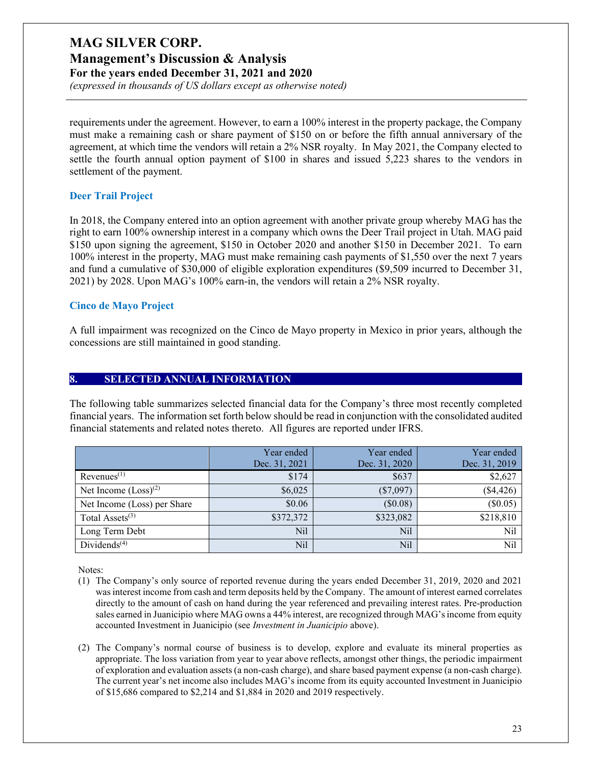**Management's Discussion & Analysis**

**For the years ended December 31, 2021 and 2020**

*(expressed in thousands of US dollars except as otherwise noted)*

requirements under the agreement. However, to earn a 100% interest in the property package, the Company must make a remaining cash or share payment of \$150 on or before the fifth annual anniversary of the agreement, at which time the vendors will retain a 2% NSR royalty. In May 2021, the Company elected to settle the fourth annual option payment of \$100 in shares and issued 5,223 shares to the vendors in settlement of the payment.

### **Deer Trail Project**

In 2018, the Company entered into an option agreement with another private group whereby MAG has the right to earn 100% ownership interest in a company which owns the Deer Trail project in Utah. MAG paid \$150 upon signing the agreement, \$150 in October 2020 and another \$150 in December 2021. To earn 100% interest in the property, MAG must make remaining cash payments of \$1,550 over the next 7 years and fund a cumulative of \$30,000 of eligible exploration expenditures (\$9,509 incurred to December 31, 2021) by 2028. Upon MAG's 100% earn-in, the vendors will retain a 2% NSR royalty.

### **Cinco de Mayo Project**

A full impairment was recognized on the Cinco de Mayo property in Mexico in prior years, although the concessions are still maintained in good standing.

### **8. SELECTED ANNUAL INFORMATION**

The following table summarizes selected financial data for the Company's three most recently completed financial years. The information set forth below should be read in conjunction with the consolidated audited financial statements and related notes thereto. All figures are reported under IFRS.

|                             | Year ended<br>Dec. 31, 2021 | Year ended<br>Dec. 31, 2020 | Year ended<br>Dec. 31, 2019 |
|-----------------------------|-----------------------------|-----------------------------|-----------------------------|
| Revenues <sup>(1)</sup>     | \$174                       | \$637                       | \$2,627                     |
| Net Income $(Loss)^{(2)}$   | \$6,025                     | $(\$7,097)$                 | $(*4,426)$                  |
| Net Income (Loss) per Share | \$0.06                      | (\$0.08)                    | (\$0.05)                    |
| Total Assets $(3)$          | \$372,372                   | \$323,082                   | \$218,810                   |
| Long Term Debt              | Nil                         | Nil                         | Nil                         |
| Dividends $(4)$             | Nil                         | Nil                         | Nil                         |

Notes:

- (1) The Company's only source of reported revenue during the years ended December 31, 2019, 2020 and 2021 was interest income from cash and term deposits held by the Company. The amount of interest earned correlates directly to the amount of cash on hand during the year referenced and prevailing interest rates. Pre-production sales earned in Juanicipio where MAG owns a 44% interest, are recognized through MAG's income from equity accounted Investment in Juanicipio (see *Investment in Juanicipio* above).
- (2) The Company's normal course of business is to develop, explore and evaluate its mineral properties as appropriate. The loss variation from year to year above reflects, amongst other things, the periodic impairment of exploration and evaluation assets (a non-cash charge), and share based payment expense (a non-cash charge). The current year's net income also includes MAG's income from its equity accounted Investment in Juanicipio of \$15,686 compared to \$2,214 and \$1,884 in 2020 and 2019 respectively.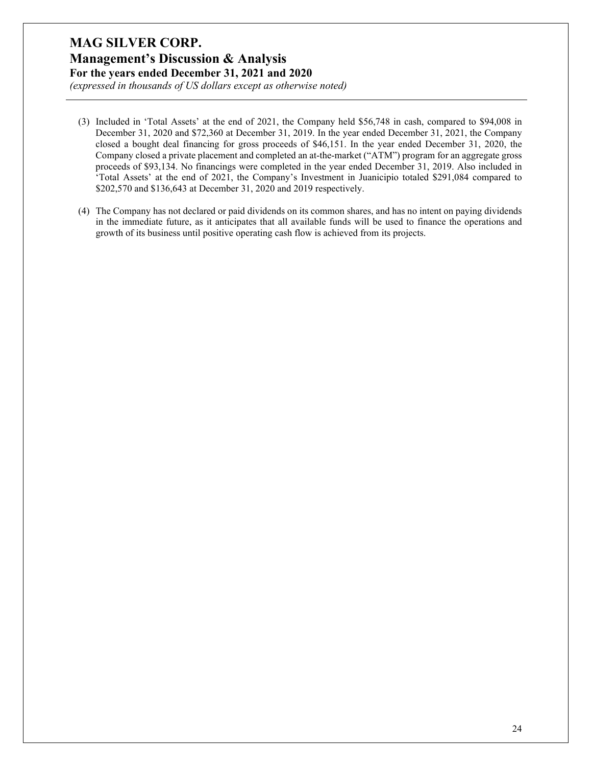*(expressed in thousands of US dollars except as otherwise noted)*

- (3) Included in 'Total Assets' at the end of 2021, the Company held \$56,748 in cash, compared to \$94,008 in December 31, 2020 and \$72,360 at December 31, 2019. In the year ended December 31, 2021, the Company closed a bought deal financing for gross proceeds of \$46,151. In the year ended December 31, 2020, the Company closed a private placement and completed an at-the-market ("ATM") program for an aggregate gross proceeds of \$93,134. No financings were completed in the year ended December 31, 2019. Also included in 'Total Assets' at the end of 2021, the Company's Investment in Juanicipio totaled \$291,084 compared to \$202,570 and \$136,643 at December 31, 2020 and 2019 respectively.
- (4) The Company has not declared or paid dividends on its common shares, and has no intent on paying dividends in the immediate future, as it anticipates that all available funds will be used to finance the operations and growth of its business until positive operating cash flow is achieved from its projects.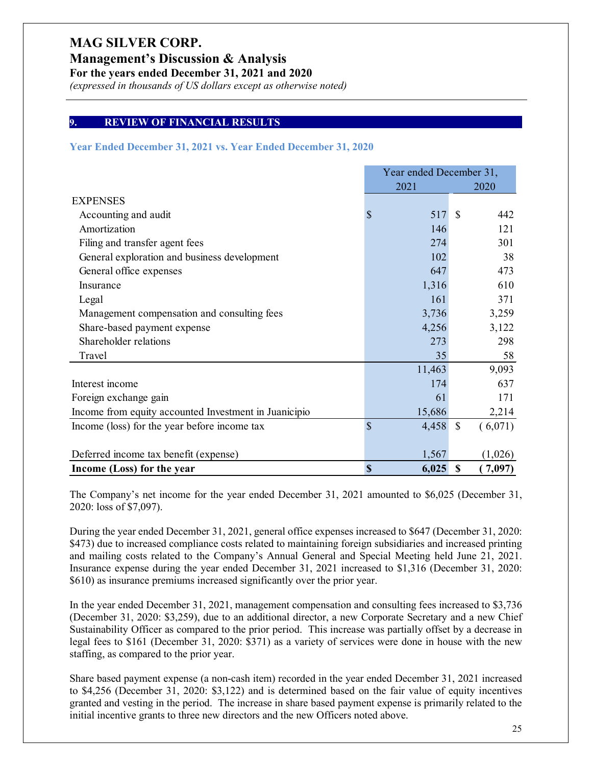**Management's Discussion & Analysis**

**For the years ended December 31, 2021 and 2020**

*(expressed in thousands of US dollars except as otherwise noted)*

#### **9. REVIEW OF FINANCIAL RESULTS**

#### **Year Ended December 31, 2021 vs. Year Ended December 31, 2020**

|                                                       | Year ended December 31, |                           |         |
|-------------------------------------------------------|-------------------------|---------------------------|---------|
|                                                       | 2021                    |                           | 2020    |
| <b>EXPENSES</b>                                       |                         |                           |         |
| Accounting and audit                                  | \$<br>517               | <sup>\$</sup>             | 442     |
| Amortization                                          | 146                     |                           | 121     |
| Filing and transfer agent fees                        | 274                     |                           | 301     |
| General exploration and business development          | 102                     |                           | 38      |
| General office expenses                               | 647                     |                           | 473     |
| Insurance                                             | 1,316                   |                           | 610     |
| Legal                                                 | 161                     |                           | 371     |
| Management compensation and consulting fees           | 3,736                   |                           | 3,259   |
| Share-based payment expense                           | 4,256                   |                           | 3,122   |
| Shareholder relations                                 | 273                     |                           | 298     |
| Travel                                                | 35                      |                           | 58      |
|                                                       | 11,463                  |                           | 9,093   |
| Interest income                                       | 174                     |                           | 637     |
| Foreign exchange gain                                 | 61                      |                           | 171     |
| Income from equity accounted Investment in Juanicipio | 15,686                  |                           | 2,214   |
| Income (loss) for the year before income tax          | \$<br>4,458             | $\mathcal{S}$             | (6,071) |
|                                                       |                         |                           |         |
| Deferred income tax benefit (expense)                 | 1,567                   |                           | (1,026) |
| Income (Loss) for the year                            | \$<br>6,025             | $\boldsymbol{\mathsf{S}}$ | 7,097)  |

The Company's net income for the year ended December 31, 2021 amounted to \$6,025 (December 31, 2020: loss of \$7,097).

During the year ended December 31, 2021, general office expenses increased to \$647 (December 31, 2020: \$473) due to increased compliance costs related to maintaining foreign subsidiaries and increased printing and mailing costs related to the Company's Annual General and Special Meeting held June 21, 2021. Insurance expense during the year ended December 31, 2021 increased to \$1,316 (December 31, 2020: \$610) as insurance premiums increased significantly over the prior year.

In the year ended December 31, 2021, management compensation and consulting fees increased to \$3,736 (December 31, 2020: \$3,259), due to an additional director, a new Corporate Secretary and a new Chief Sustainability Officer as compared to the prior period. This increase was partially offset by a decrease in legal fees to \$161 (December 31, 2020: \$371) as a variety of services were done in house with the new staffing, as compared to the prior year.

Share based payment expense (a non-cash item) recorded in the year ended December 31, 2021 increased to \$4,256 (December 31, 2020: \$3,122) and is determined based on the fair value of equity incentives granted and vesting in the period. The increase in share based payment expense is primarily related to the initial incentive grants to three new directors and the new Officers noted above.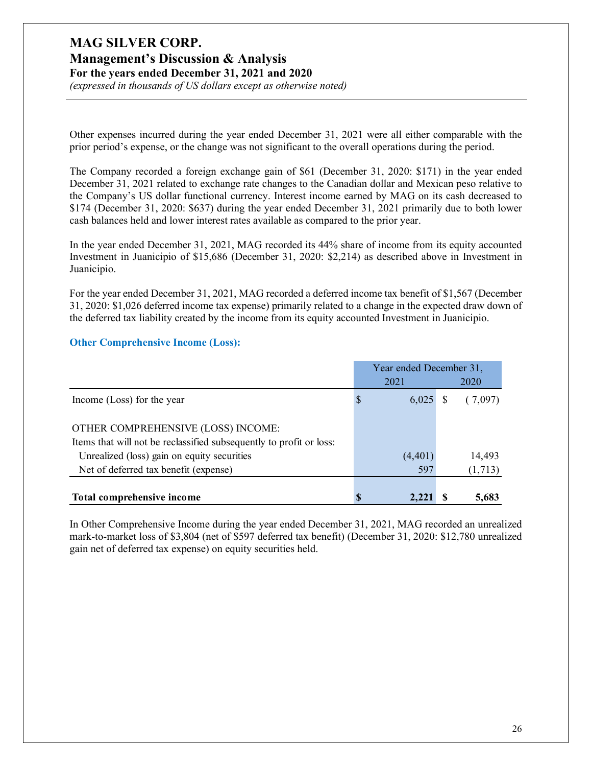**Management's Discussion & Analysis For the years ended December 31, 2021 and 2020**

*(expressed in thousands of US dollars except as otherwise noted)*

Other expenses incurred during the year ended December 31, 2021 were all either comparable with the prior period's expense, or the change was not significant to the overall operations during the period.

The Company recorded a foreign exchange gain of \$61 (December 31, 2020: \$171) in the year ended December 31, 2021 related to exchange rate changes to the Canadian dollar and Mexican peso relative to the Company's US dollar functional currency. Interest income earned by MAG on its cash decreased to \$174 (December 31, 2020: \$637) during the year ended December 31, 2021 primarily due to both lower cash balances held and lower interest rates available as compared to the prior year.

In the year ended December 31, 2021, MAG recorded its 44% share of income from its equity accounted Investment in Juanicipio of \$15,686 (December 31, 2020: \$2,214) as described above in Investment in Juanicipio.

For the year ended December 31, 2021, MAG recorded a deferred income tax benefit of \$1,567 (December 31, 2020: \$1,026 deferred income tax expense) primarily related to a change in the expected draw down of the deferred tax liability created by the income from its equity accounted Investment in Juanicipio.

#### **Other Comprehensive Income (Loss):**

|                                                                     | Year ended December 31, |          |  |         |
|---------------------------------------------------------------------|-------------------------|----------|--|---------|
|                                                                     |                         | 2021     |  | 2020    |
| Income (Loss) for the year                                          | D                       | 6,025    |  | (7,097) |
| OTHER COMPREHENSIVE (LOSS) INCOME:                                  |                         |          |  |         |
| Items that will not be reclassified subsequently to profit or loss: |                         |          |  |         |
| Unrealized (loss) gain on equity securities                         |                         | (4, 401) |  | 14,493  |
| Net of deferred tax benefit (expense)                               |                         | 597      |  | (1,713) |
|                                                                     |                         |          |  |         |
| Total comprehensive income                                          |                         |          |  | 5,683   |

In Other Comprehensive Income during the year ended December 31, 2021, MAG recorded an unrealized mark-to-market loss of \$3,804 (net of \$597 deferred tax benefit) (December 31, 2020: \$12,780 unrealized gain net of deferred tax expense) on equity securities held.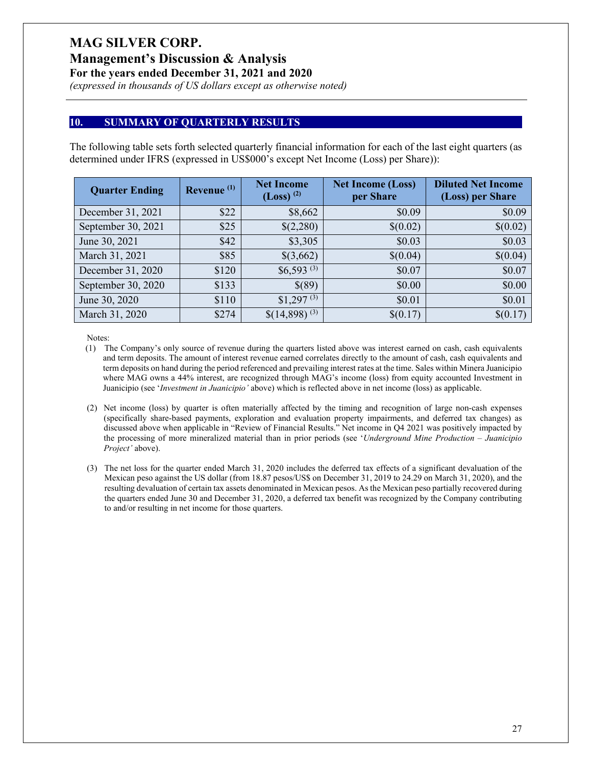**Management's Discussion & Analysis**

**For the years ended December 31, 2021 and 2020**

*(expressed in thousands of US dollars except as otherwise noted)*

#### **10. SUMMARY OF QUARTERLY RESULTS**

The following table sets forth selected quarterly financial information for each of the last eight quarters (as determined under IFRS (expressed in US\$000's except Net Income (Loss) per Share)):

| <b>Quarter Ending</b> | Revenue <sup>(1)</sup> | <b>Net Income</b><br>$(Loss)$ <sup>(2)</sup> | <b>Net Income (Loss)</b><br>per Share | <b>Diluted Net Income</b><br>(Loss) per Share |
|-----------------------|------------------------|----------------------------------------------|---------------------------------------|-----------------------------------------------|
| December 31, 2021     | \$22                   | \$8,662                                      | \$0.09                                | \$0.09                                        |
| September 30, 2021    | \$25                   | \$(2,280)                                    | \$(0.02)                              | \$(0.02)                                      |
| June 30, 2021         | \$42                   | \$3,305                                      | \$0.03                                | \$0.03                                        |
| March 31, 2021        | \$85                   | \$(3,662)                                    | \$(0.04)                              | \$(0.04)                                      |
| December 31, 2020     | \$120                  | $$6,593$ <sup>(3)</sup>                      | \$0.07                                | \$0.07                                        |
| September 30, 2020    | \$133                  | \$(89)                                       | \$0.00                                | \$0.00                                        |
| June 30, 2020         | \$110                  | $$1,297$ <sup>(3)</sup>                      | \$0.01                                | \$0.01                                        |
| March 31, 2020        | \$274                  | $$(14,898)^{(3)}$                            | \$(0.17)                              | \$(0.17)                                      |

Notes:

- (1) The Company's only source of revenue during the quarters listed above was interest earned on cash, cash equivalents and term deposits. The amount of interest revenue earned correlates directly to the amount of cash, cash equivalents and term deposits on hand during the period referenced and prevailing interest rates at the time. Sales within Minera Juanicipio where MAG owns a 44% interest, are recognized through MAG's income (loss) from equity accounted Investment in Juanicipio (see '*Investment in Juanicipio'* above) which is reflected above in net income (loss) as applicable.
- (2) Net income (loss) by quarter is often materially affected by the timing and recognition of large non-cash expenses (specifically share-based payments, exploration and evaluation property impairments, and deferred tax changes) as discussed above when applicable in "Review of Financial Results." Net income in Q4 2021 was positively impacted by the processing of more mineralized material than in prior periods (see '*Underground Mine Production – Juanicipio Project'* above).
- (3) The net loss for the quarter ended March 31, 2020 includes the deferred tax effects of a significant devaluation of the Mexican peso against the US dollar (from 18.87 pesos/US\$ on December 31, 2019 to 24.29 on March 31, 2020), and the resulting devaluation of certain tax assets denominated in Mexican pesos. As the Mexican peso partially recovered during the quarters ended June 30 and December 31, 2020, a deferred tax benefit was recognized by the Company contributing to and/or resulting in net income for those quarters.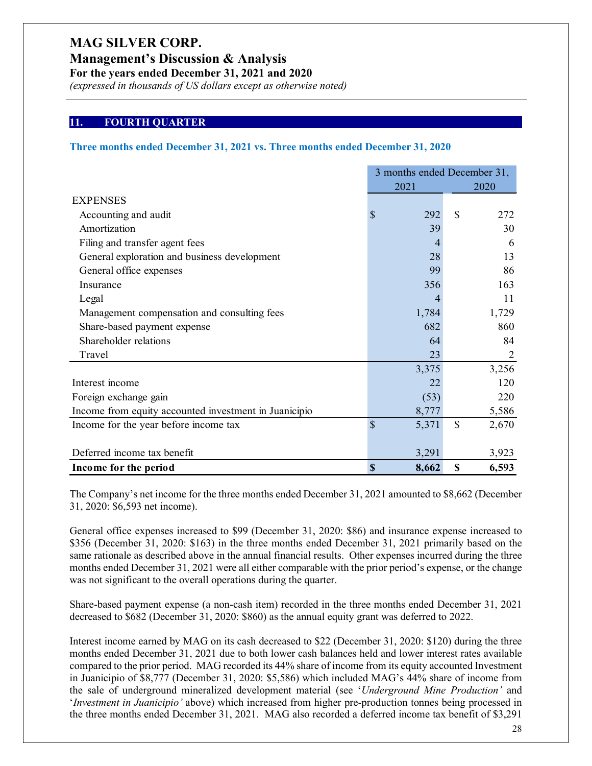**Management's Discussion & Analysis**

**For the years ended December 31, 2021 and 2020**

*(expressed in thousands of US dollars except as otherwise noted)*

#### **11. FOURTH QUARTER**

#### **Three months ended December 31, 2021 vs. Three months ended December 31, 2020**

|                                                       |                           | 3 months ended December 31, |              |                |
|-------------------------------------------------------|---------------------------|-----------------------------|--------------|----------------|
|                                                       |                           | 2021                        |              | 2020           |
| <b>EXPENSES</b>                                       |                           |                             |              |                |
| Accounting and audit                                  | $\mathbb{S}$              | 292                         | $\mathbb{S}$ | 272            |
| Amortization                                          |                           | 39                          |              | 30             |
| Filing and transfer agent fees                        |                           | 4                           |              | 6              |
| General exploration and business development          |                           | 28                          |              | 13             |
| General office expenses                               |                           | 99                          |              | 86             |
| Insurance                                             |                           | 356                         |              | 163            |
| Legal                                                 |                           | 4                           |              | 11             |
| Management compensation and consulting fees           |                           | 1,784                       |              | 1,729          |
| Share-based payment expense                           |                           | 682                         |              | 860            |
| Shareholder relations                                 |                           | 64                          |              | 84             |
| Travel                                                |                           | 23                          |              | $\overline{2}$ |
|                                                       |                           | 3,375                       |              | 3,256          |
| Interest income                                       |                           | 22                          |              | 120            |
| Foreign exchange gain                                 |                           | (53)                        |              | 220            |
| Income from equity accounted investment in Juanicipio |                           | 8,777                       |              | 5,586          |
| Income for the year before income tax                 | \$                        | 5,371                       | $\mathbb{S}$ | 2,670          |
|                                                       |                           |                             |              |                |
| Deferred income tax benefit                           |                           | 3,291                       |              | 3,923          |
| Income for the period                                 | $\boldsymbol{\mathsf{S}}$ | 8,662                       | \$           | 6,593          |

The Company's net income for the three months ended December 31, 2021 amounted to \$8,662 (December 31, 2020: \$6,593 net income).

General office expenses increased to \$99 (December 31, 2020: \$86) and insurance expense increased to \$356 (December 31, 2020: \$163) in the three months ended December 31, 2021 primarily based on the same rationale as described above in the annual financial results. Other expenses incurred during the three months ended December 31, 2021 were all either comparable with the prior period's expense, or the change was not significant to the overall operations during the quarter.

Share-based payment expense (a non-cash item) recorded in the three months ended December 31, 2021 decreased to \$682 (December 31, 2020: \$860) as the annual equity grant was deferred to 2022.

Interest income earned by MAG on its cash decreased to \$22 (December 31, 2020: \$120) during the three months ended December 31, 2021 due to both lower cash balances held and lower interest rates available compared to the prior period. MAG recorded its 44% share of income from its equity accounted Investment in Juanicipio of \$8,777 (December 31, 2020: \$5,586) which included MAG's 44% share of income from the sale of underground mineralized development material (see '*Underground Mine Production'* and '*Investment in Juanicipio'* above) which increased from higher pre-production tonnes being processed in the three months ended December 31, 2021. MAG also recorded a deferred income tax benefit of \$3,291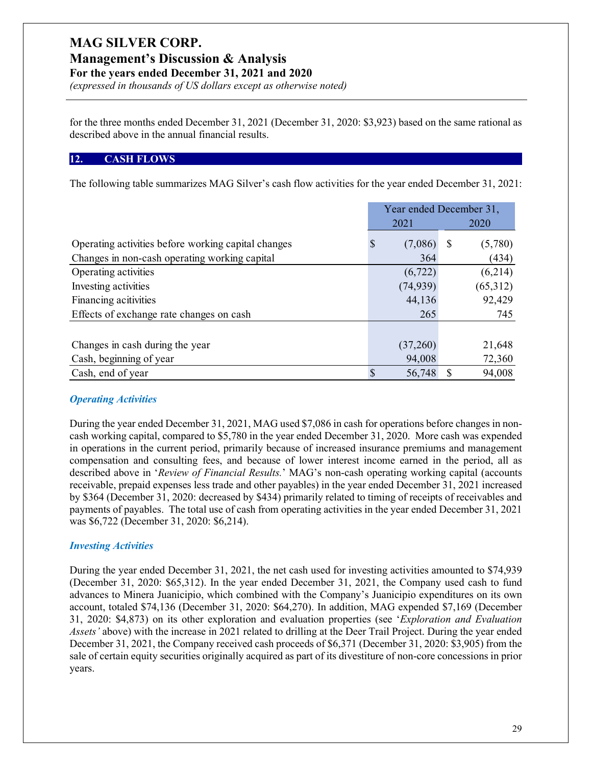# **Management's Discussion & Analysis**

**For the years ended December 31, 2021 and 2020**

*(expressed in thousands of US dollars except as otherwise noted)*

for the three months ended December 31, 2021 (December 31, 2020: \$3,923) based on the same rational as described above in the annual financial results.

### **12. CASH FLOWS**

The following table summarizes MAG Silver's cash flow activities for the year ended December 31, 2021:

|                                                     | Year ended December 31, |           |   |          |
|-----------------------------------------------------|-------------------------|-----------|---|----------|
|                                                     |                         | 2021      |   | 2020     |
| Operating activities before working capital changes | S                       | (7,086)   | S | (5,780)  |
| Changes in non-cash operating working capital       |                         | 364       |   | (434)    |
| Operating activities                                |                         | (6, 722)  |   | (6,214)  |
| Investing activities                                |                         | (74, 939) |   | (65,312) |
| Financing acitivities                               |                         | 44,136    |   | 92,429   |
| Effects of exchange rate changes on cash            |                         | 265       |   | 745      |
|                                                     |                         |           |   |          |
| Changes in cash during the year                     |                         | (37,260)  |   | 21,648   |
| Cash, beginning of year                             |                         | 94,008    |   | 72,360   |
| Cash, end of year                                   | <sup>\$</sup>           | 56,748    |   | 94,008   |

### *Operating Activities*

During the year ended December 31, 2021, MAG used \$7,086 in cash for operations before changes in noncash working capital, compared to \$5,780 in the year ended December 31, 2020. More cash was expended in operations in the current period, primarily because of increased insurance premiums and management compensation and consulting fees, and because of lower interest income earned in the period, all as described above in '*Review of Financial Results.*' MAG's non-cash operating working capital (accounts receivable, prepaid expenses less trade and other payables) in the year ended December 31, 2021 increased by \$364 (December 31, 2020: decreased by \$434) primarily related to timing of receipts of receivables and payments of payables. The total use of cash from operating activities in the year ended December 31, 2021 was \$6,722 (December 31, 2020: \$6,214).

### *Investing Activities*

During the year ended December 31, 2021, the net cash used for investing activities amounted to \$74,939 (December 31, 2020: \$65,312). In the year ended December 31, 2021, the Company used cash to fund advances to Minera Juanicipio, which combined with the Company's Juanicipio expenditures on its own account, totaled \$74,136 (December 31, 2020: \$64,270). In addition, MAG expended \$7,169 (December 31, 2020: \$4,873) on its other exploration and evaluation properties (see '*Exploration and Evaluation Assets'* above) with the increase in 2021 related to drilling at the Deer Trail Project. During the year ended December 31, 2021, the Company received cash proceeds of \$6,371 (December 31, 2020: \$3,905) from the sale of certain equity securities originally acquired as part of its divestiture of non-core concessions in prior years.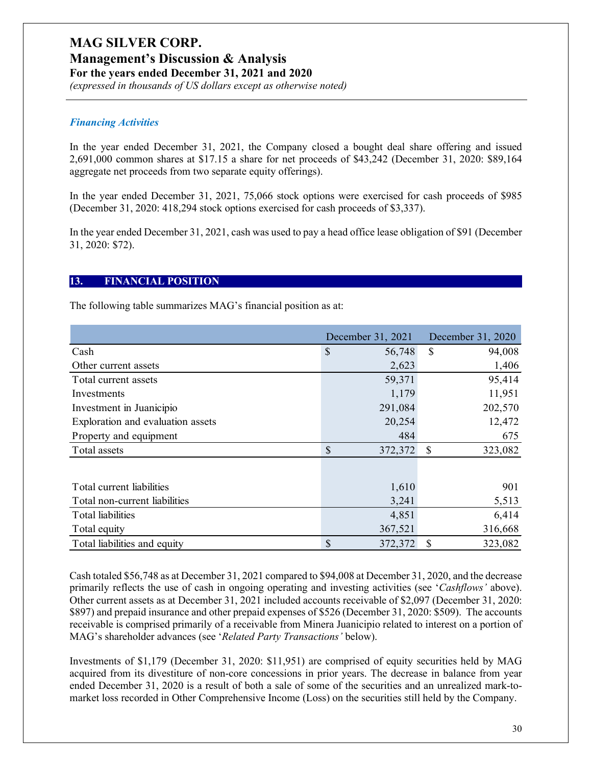### **Management's Discussion & Analysis**

**For the years ended December 31, 2021 and 2020**

*(expressed in thousands of US dollars except as otherwise noted)*

### *Financing Activities*

In the year ended December 31, 2021, the Company closed a bought deal share offering and issued 2,691,000 common shares at \$17.15 a share for net proceeds of \$43,242 (December 31, 2020: \$89,164 aggregate net proceeds from two separate equity offerings).

In the year ended December 31, 2021, 75,066 stock options were exercised for cash proceeds of \$985 (December 31, 2020: 418,294 stock options exercised for cash proceeds of \$3,337).

In the year ended December 31, 2021, cash was used to pay a head office lease obligation of \$91 (December 31, 2020: \$72).

#### **13. FINANCIAL POSITION**

The following table summarizes MAG's financial position as at:

|                                   | December 31, 2021       | December 31, 2020 |  |
|-----------------------------------|-------------------------|-------------------|--|
| Cash                              | $\mathcal{S}$<br>56,748 | \$<br>94,008      |  |
| Other current assets              | 2,623                   | 1,406             |  |
| Total current assets              | 59,371                  | 95,414            |  |
| Investments                       | 1,179                   | 11,951            |  |
| Investment in Juanicipio          | 291,084                 | 202,570           |  |
| Exploration and evaluation assets | 20,254                  | 12,472            |  |
| Property and equipment            | 484                     | 675               |  |
| Total assets                      | \$<br>372,372           | 323,082<br>\$     |  |
|                                   |                         |                   |  |
| Total current liabilities         | 1,610                   | 901               |  |
| Total non-current liabilities     | 3,241                   | 5,513             |  |
| Total liabilities                 | 4,851                   | 6,414             |  |
| Total equity                      | 367,521                 | 316,668           |  |
| Total liabilities and equity      | \$<br>372,372           | 323,082<br>\$     |  |

Cash totaled \$56,748 as at December 31, 2021 compared to \$94,008 at December 31, 2020, and the decrease primarily reflects the use of cash in ongoing operating and investing activities (see '*Cashflows'* above). Other current assets as at December 31, 2021 included accounts receivable of \$2,097 (December 31, 2020: \$897) and prepaid insurance and other prepaid expenses of \$526 (December 31, 2020: \$509). The accounts receivable is comprised primarily of a receivable from Minera Juanicipio related to interest on a portion of MAG's shareholder advances (see '*Related Party Transactions'* below).

Investments of \$1,179 (December 31, 2020: \$11,951) are comprised of equity securities held by MAG acquired from its divestiture of non-core concessions in prior years. The decrease in balance from year ended December 31, 2020 is a result of both a sale of some of the securities and an unrealized mark-tomarket loss recorded in Other Comprehensive Income (Loss) on the securities still held by the Company.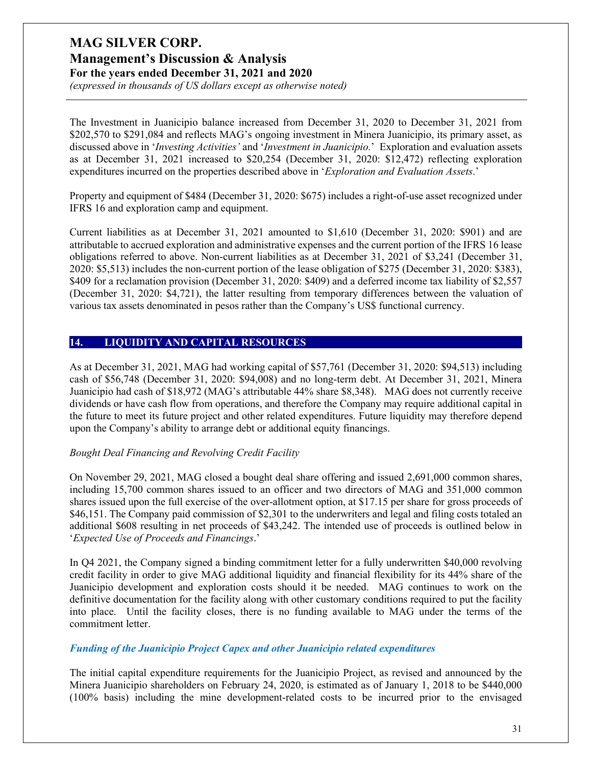*(expressed in thousands of US dollars except as otherwise noted)*

The Investment in Juanicipio balance increased from December 31, 2020 to December 31, 2021 from \$202,570 to \$291,084 and reflects MAG's ongoing investment in Minera Juanicipio, its primary asset, as discussed above in '*Investing Activities'* and '*Investment in Juanicipio.*' Exploration and evaluation assets as at December 31, 2021 increased to \$20,254 (December 31, 2020: \$12,472) reflecting exploration expenditures incurred on the properties described above in '*Exploration and Evaluation Assets*.'

Property and equipment of \$484 (December 31, 2020: \$675) includes a right-of-use asset recognized under IFRS 16 and exploration camp and equipment.

Current liabilities as at December 31, 2021 amounted to \$1,610 (December 31, 2020: \$901) and are attributable to accrued exploration and administrative expenses and the current portion of the IFRS 16 lease obligations referred to above. Non-current liabilities as at December 31, 2021 of \$3,241 (December 31, 2020: \$5,513) includes the non-current portion of the lease obligation of \$275 (December 31, 2020: \$383), \$409 for a reclamation provision (December 31, 2020: \$409) and a deferred income tax liability of \$2,557 (December 31, 2020: \$4,721), the latter resulting from temporary differences between the valuation of various tax assets denominated in pesos rather than the Company's US\$ functional currency.

#### **14. LIQUIDITY AND CAPITAL RESOURCES**

As at December 31, 2021, MAG had working capital of \$57,761 (December 31, 2020: \$94,513) including cash of \$56,748 (December 31, 2020: \$94,008) and no long-term debt. At December 31, 2021, Minera Juanicipio had cash of \$18,972 (MAG's attributable 44% share \$8,348). MAG does not currently receive dividends or have cash flow from operations, and therefore the Company may require additional capital in the future to meet its future project and other related expenditures. Future liquidity may therefore depend upon the Company's ability to arrange debt or additional equity financings.

#### *Bought Deal Financing and Revolving Credit Facility*

On November 29, 2021, MAG closed a bought deal share offering and issued 2,691,000 common shares, including 15,700 common shares issued to an officer and two directors of MAG and 351,000 common shares issued upon the full exercise of the over-allotment option, at \$17.15 per share for gross proceeds of \$46,151. The Company paid commission of \$2,301 to the underwriters and legal and filing costs totaled an additional \$608 resulting in net proceeds of \$43,242. The intended use of proceeds is outlined below in '*Expected Use of Proceeds and Financings*.'

In Q4 2021, the Company signed a binding commitment letter for a fully underwritten \$40,000 revolving credit facility in order to give MAG additional liquidity and financial flexibility for its 44% share of the Juanicipio development and exploration costs should it be needed. MAG continues to work on the definitive documentation for the facility along with other customary conditions required to put the facility into place. Until the facility closes, there is no funding available to MAG under the terms of the commitment letter.

#### *Funding of the Juanicipio Project Capex and other Juanicipio related expenditures*

The initial capital expenditure requirements for the Juanicipio Project, as revised and announced by the Minera Juanicipio shareholders on February 24, 2020, is estimated as of January 1, 2018 to be \$440,000 (100% basis) including the mine development-related costs to be incurred prior to the envisaged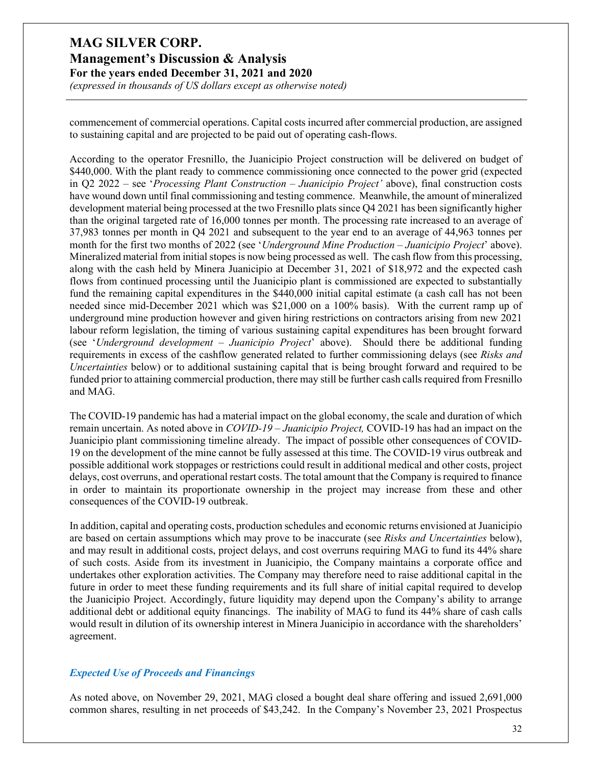*(expressed in thousands of US dollars except as otherwise noted)*

commencement of commercial operations. Capital costs incurred after commercial production, are assigned to sustaining capital and are projected to be paid out of operating cash-flows.

According to the operator Fresnillo, the Juanicipio Project construction will be delivered on budget of \$440,000. With the plant ready to commence commissioning once connected to the power grid (expected in Q2 2022 – see '*Processing Plant Construction – Juanicipio Project'* above), final construction costs have wound down until final commissioning and testing commence. Meanwhile, the amount of mineralized development material being processed at the two Fresnillo plats since Q4 2021 has been significantly higher than the original targeted rate of 16,000 tonnes per month. The processing rate increased to an average of 37,983 tonnes per month in Q4 2021 and subsequent to the year end to an average of 44,963 tonnes per month for the first two months of 2022 (see '*Underground Mine Production – Juanicipio Project*' above). Mineralized material from initial stopes is now being processed as well. The cash flow from this processing, along with the cash held by Minera Juanicipio at December 31, 2021 of \$18,972 and the expected cash flows from continued processing until the Juanicipio plant is commissioned are expected to substantially fund the remaining capital expenditures in the \$440,000 initial capital estimate (a cash call has not been needed since mid-December 2021 which was \$21,000 on a 100% basis). With the current ramp up of underground mine production however and given hiring restrictions on contractors arising from new 2021 labour reform legislation, the timing of various sustaining capital expenditures has been brought forward (see '*Underground development – Juanicipio Project*' above). Should there be additional funding requirements in excess of the cashflow generated related to further commissioning delays (see *Risks and Uncertainties* below) or to additional sustaining capital that is being brought forward and required to be funded prior to attaining commercial production, there may still be further cash calls required from Fresnillo and MAG.

The COVID-19 pandemic has had a material impact on the global economy, the scale and duration of which remain uncertain. As noted above in *COVID-19 – Juanicipio Project,* COVID-19 has had an impact on the Juanicipio plant commissioning timeline already. The impact of possible other consequences of COVID-19 on the development of the mine cannot be fully assessed at this time. The COVID-19 virus outbreak and possible additional work stoppages or restrictions could result in additional medical and other costs, project delays, cost overruns, and operational restart costs. The total amount that the Company is required to finance in order to maintain its proportionate ownership in the project may increase from these and other consequences of the COVID-19 outbreak.

In addition, capital and operating costs, production schedules and economic returns envisioned at Juanicipio are based on certain assumptions which may prove to be inaccurate (see *Risks and Uncertainties* below), and may result in additional costs, project delays, and cost overruns requiring MAG to fund its 44% share of such costs. Aside from its investment in Juanicipio, the Company maintains a corporate office and undertakes other exploration activities. The Company may therefore need to raise additional capital in the future in order to meet these funding requirements and its full share of initial capital required to develop the Juanicipio Project. Accordingly, future liquidity may depend upon the Company's ability to arrange additional debt or additional equity financings. The inability of MAG to fund its 44% share of cash calls would result in dilution of its ownership interest in Minera Juanicipio in accordance with the shareholders' agreement.

#### *Expected Use of Proceeds and Financings*

As noted above, on November 29, 2021, MAG closed a bought deal share offering and issued 2,691,000 common shares, resulting in net proceeds of \$43,242. In the Company's November 23, 2021 Prospectus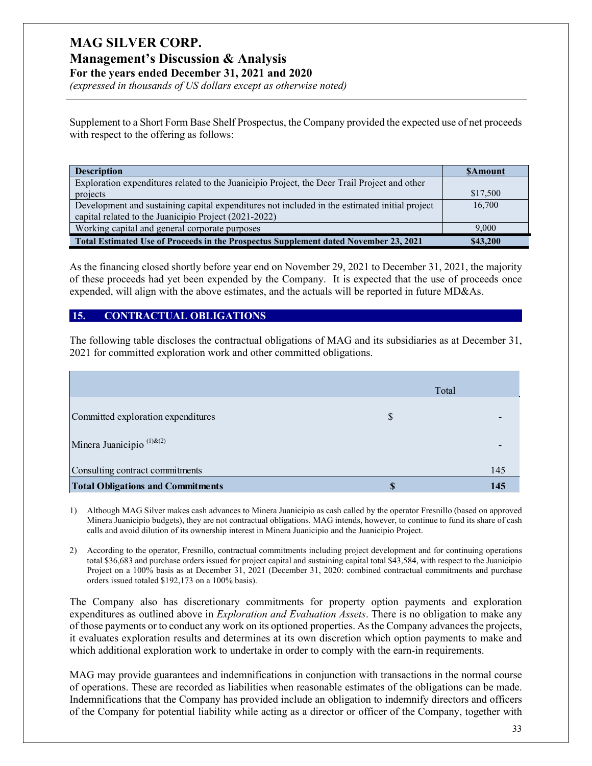# **MAG SILVER CORP. Management's Discussion & Analysis**

**For the years ended December 31, 2021 and 2020**

*(expressed in thousands of US dollars except as otherwise noted)*

Supplement to a Short Form Base Shelf Prospectus, the Company provided the expected use of net proceeds with respect to the offering as follows:

| <b>Description</b>                                                                            | <b>SAmount</b> |
|-----------------------------------------------------------------------------------------------|----------------|
| Exploration expenditures related to the Juanicipio Project, the Deer Trail Project and other  |                |
| projects                                                                                      | \$17,500       |
| Development and sustaining capital expenditures not included in the estimated initial project | 16,700         |
| capital related to the Juanicipio Project (2021-2022)                                         |                |
| Working capital and general corporate purposes                                                | 9.000          |
| Total Estimated Use of Proceeds in the Prospectus Supplement dated November 23, 2021          | \$43,200       |

As the financing closed shortly before year end on November 29, 2021 to December 31, 2021, the majority of these proceeds had yet been expended by the Company. It is expected that the use of proceeds once expended, will align with the above estimates, and the actuals will be reported in future MD&As.

### **15. CONTRACTUAL OBLIGATIONS**

The following table discloses the contractual obligations of MAG and its subsidiaries as at December 31, 2021 for committed exploration work and other committed obligations.

|                                          | Total |     |
|------------------------------------------|-------|-----|
| Committed exploration expenditures       | S     |     |
| Minera Juanicipio <sup>(1)&amp;(2)</sup> |       |     |
| Consulting contract commitments          |       | 145 |
| <b>Total Obligations and Commitments</b> |       | 145 |

1) Although MAG Silver makes cash advances to Minera Juanicipio as cash called by the operator Fresnillo (based on approved Minera Juanicipio budgets), they are not contractual obligations. MAG intends, however, to continue to fund its share of cash calls and avoid dilution of its ownership interest in Minera Juanicipio and the Juanicipio Project.

2) According to the operator, Fresnillo, contractual commitments including project development and for continuing operations total \$36,683 and purchase orders issued for project capital and sustaining capital total \$43,584, with respect to the Juanicipio Project on a 100% basis as at December 31, 2021 (December 31, 2020: combined contractual commitments and purchase orders issued totaled \$192,173 on a 100% basis).

The Company also has discretionary commitments for property option payments and exploration expenditures as outlined above in *Exploration and Evaluation Assets*. There is no obligation to make any of those payments or to conduct any work on its optioned properties. As the Company advances the projects, it evaluates exploration results and determines at its own discretion which option payments to make and which additional exploration work to undertake in order to comply with the earn-in requirements.

MAG may provide guarantees and indemnifications in conjunction with transactions in the normal course of operations. These are recorded as liabilities when reasonable estimates of the obligations can be made. Indemnifications that the Company has provided include an obligation to indemnify directors and officers of the Company for potential liability while acting as a director or officer of the Company, together with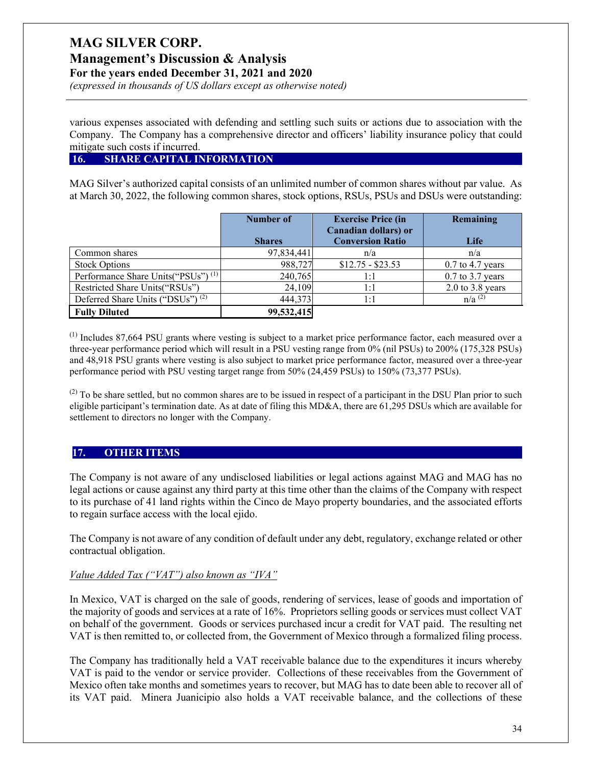**Management's Discussion & Analysis**

**For the years ended December 31, 2021 and 2020**

*(expressed in thousands of US dollars except as otherwise noted)*

various expenses associated with defending and settling such suits or actions due to association with the Company. The Company has a comprehensive director and officers' liability insurance policy that could mitigate such costs if incurred.

### **16. SHARE CAPITAL INFORMATION**

MAG Silver's authorized capital consists of an unlimited number of common shares without par value. As at March 30, 2022, the following common shares, stock options, RSUs, PSUs and DSUs were outstanding:

|                                                 | Number of     | <b>Exercise Price (in</b>                       | Remaining            |
|-------------------------------------------------|---------------|-------------------------------------------------|----------------------|
|                                                 | <b>Shares</b> | Canadian dollars) or<br><b>Conversion Ratio</b> | Life                 |
| Common shares                                   | 97,834,441    | n/a                                             | n/a                  |
| <b>Stock Options</b>                            | 988,727       | $$12.75 - $23.53$                               | $0.7$ to 4.7 years   |
| Performance Share Units ("PSUs") <sup>(1)</sup> | 240,765       | 1:1                                             | $0.7$ to 3.7 years   |
| Restricted Share Units("RSUs")                  | 24,109        | 1:1                                             | $2.0$ to $3.8$ years |
| Deferred Share Units ("DSUs") <sup>(2)</sup>    | 444,373       | 1:1                                             | $n/a^{(2)}$          |
| <b>Fully Diluted</b>                            | 99,532,415    |                                                 |                      |

(1) Includes 87,664 PSU grants where vesting is subject to a market price performance factor, each measured over a three-year performance period which will result in a PSU vesting range from 0% (nil PSUs) to 200% (175,328 PSUs) and 48,918 PSU grants where vesting is also subject to market price performance factor, measured over a three-year performance period with PSU vesting target range from 50% (24,459 PSUs) to 150% (73,377 PSUs).

 $^{(2)}$  To be share settled, but no common shares are to be issued in respect of a participant in the DSU Plan prior to such eligible participant's termination date. As at date of filing this MD&A, there are 61,295 DSUs which are available for settlement to directors no longer with the Company.

### **17. OTHER ITEMS**

The Company is not aware of any undisclosed liabilities or legal actions against MAG and MAG has no legal actions or cause against any third party at this time other than the claims of the Company with respect to its purchase of 41 land rights within the Cinco de Mayo property boundaries, and the associated efforts to regain surface access with the local ejido.

The Company is not aware of any condition of default under any debt, regulatory, exchange related or other contractual obligation.

### *Value Added Tax ("VAT") also known as "IVA"*

In Mexico, VAT is charged on the sale of goods, rendering of services, lease of goods and importation of the majority of goods and services at a rate of 16%. Proprietors selling goods or services must collect VAT on behalf of the government. Goods or services purchased incur a credit for VAT paid. The resulting net VAT is then remitted to, or collected from, the Government of Mexico through a formalized filing process.

The Company has traditionally held a VAT receivable balance due to the expenditures it incurs whereby VAT is paid to the vendor or service provider. Collections of these receivables from the Government of Mexico often take months and sometimes years to recover, but MAG has to date been able to recover all of its VAT paid. Minera Juanicipio also holds a VAT receivable balance, and the collections of these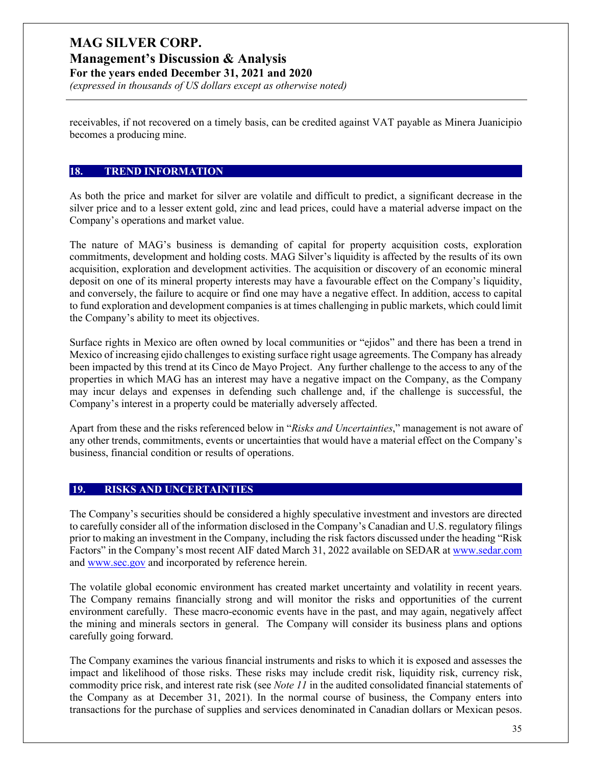# **MAG SILVER CORP. Management's Discussion & Analysis**

**For the years ended December 31, 2021 and 2020**

*(expressed in thousands of US dollars except as otherwise noted)*

receivables, if not recovered on a timely basis, can be credited against VAT payable as Minera Juanicipio becomes a producing mine.

#### **18. TREND INFORMATION**

As both the price and market for silver are volatile and difficult to predict, a significant decrease in the silver price and to a lesser extent gold, zinc and lead prices, could have a material adverse impact on the Company's operations and market value.

The nature of MAG's business is demanding of capital for property acquisition costs, exploration commitments, development and holding costs. MAG Silver's liquidity is affected by the results of its own acquisition, exploration and development activities. The acquisition or discovery of an economic mineral deposit on one of its mineral property interests may have a favourable effect on the Company's liquidity, and conversely, the failure to acquire or find one may have a negative effect. In addition, access to capital to fund exploration and development companies is at times challenging in public markets, which could limit the Company's ability to meet its objectives.

Surface rights in Mexico are often owned by local communities or "ejidos" and there has been a trend in Mexico of increasing ejido challenges to existing surface right usage agreements. The Company has already been impacted by this trend at its Cinco de Mayo Project. Any further challenge to the access to any of the properties in which MAG has an interest may have a negative impact on the Company, as the Company may incur delays and expenses in defending such challenge and, if the challenge is successful, the Company's interest in a property could be materially adversely affected.

Apart from these and the risks referenced below in "*Risks and Uncertainties*," management is not aware of any other trends, commitments, events or uncertainties that would have a material effect on the Company's business, financial condition or results of operations.

### **19. RISKS AND UNCERTAINTIES**

The Company's securities should be considered a highly speculative investment and investors are directed to carefully consider all of the information disclosed in the Company's Canadian and U.S. regulatory filings prior to making an investment in the Company, including the risk factors discussed under the heading "Risk Factors" in the Company's most recent AIF dated March 31, 2022 available on SEDAR a[t www.sedar.com](http://www.sedar.com/) and [www.sec.gov](http://www.sec.gov/) and incorporated by reference herein.

The volatile global economic environment has created market uncertainty and volatility in recent years. The Company remains financially strong and will monitor the risks and opportunities of the current environment carefully. These macro-economic events have in the past, and may again, negatively affect the mining and minerals sectors in general. The Company will consider its business plans and options carefully going forward.

The Company examines the various financial instruments and risks to which it is exposed and assesses the impact and likelihood of those risks. These risks may include credit risk, liquidity risk, currency risk, commodity price risk, and interest rate risk (see *Note 11* in the audited consolidated financial statements of the Company as at December 31, 2021). In the normal course of business, the Company enters into transactions for the purchase of supplies and services denominated in Canadian dollars or Mexican pesos.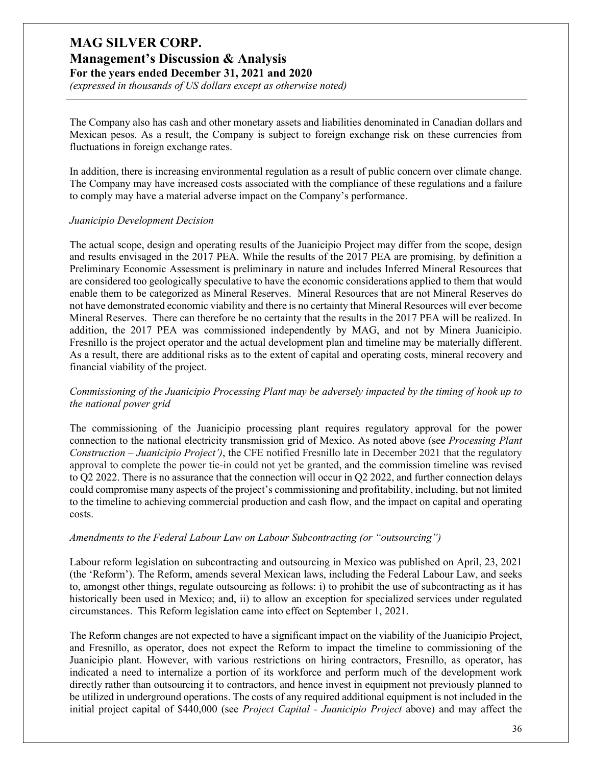# **Management's Discussion & Analysis**

**For the years ended December 31, 2021 and 2020**

*(expressed in thousands of US dollars except as otherwise noted)*

The Company also has cash and other monetary assets and liabilities denominated in Canadian dollars and Mexican pesos. As a result, the Company is subject to foreign exchange risk on these currencies from fluctuations in foreign exchange rates.

In addition, there is increasing environmental regulation as a result of public concern over climate change. The Company may have increased costs associated with the compliance of these regulations and a failure to comply may have a material adverse impact on the Company's performance.

#### *Juanicipio Development Decision*

The actual scope, design and operating results of the Juanicipio Project may differ from the scope, design and results envisaged in the 2017 PEA. While the results of the 2017 PEA are promising, by definition a Preliminary Economic Assessment is preliminary in nature and includes Inferred Mineral Resources that are considered too geologically speculative to have the economic considerations applied to them that would enable them to be categorized as Mineral Reserves. Mineral Resources that are not Mineral Reserves do not have demonstrated economic viability and there is no certainty that Mineral Resources will ever become Mineral Reserves. There can therefore be no certainty that the results in the 2017 PEA will be realized. In addition, the 2017 PEA was commissioned independently by MAG, and not by Minera Juanicipio. Fresnillo is the project operator and the actual development plan and timeline may be materially different. As a result, there are additional risks as to the extent of capital and operating costs, mineral recovery and financial viability of the project.

#### *Commissioning of the Juanicipio Processing Plant may be adversely impacted by the timing of hook up to the national power grid*

The commissioning of the Juanicipio processing plant requires regulatory approval for the power connection to the national electricity transmission grid of Mexico. As noted above (see *Processing Plant Construction – Juanicipio Project')*, the CFE notified Fresnillo late in December 2021 that the regulatory approval to complete the power tie-in could not yet be granted, and the commission timeline was revised to Q2 2022. There is no assurance that the connection will occur in Q2 2022, and further connection delays could compromise many aspects of the project's commissioning and profitability, including, but not limited to the timeline to achieving commercial production and cash flow, and the impact on capital and operating costs.

#### *Amendments to the Federal Labour Law on Labour Subcontracting (or "outsourcing")*

Labour reform legislation on subcontracting and outsourcing in Mexico was published on April, 23, 2021 (the 'Reform'). The Reform, amends several Mexican laws, including the Federal Labour Law, and seeks to, amongst other things, regulate outsourcing as follows: i) to prohibit the use of subcontracting as it has historically been used in Mexico; and, ii) to allow an exception for specialized services under regulated circumstances. This Reform legislation came into effect on September 1, 2021.

The Reform changes are not expected to have a significant impact on the viability of the Juanicipio Project, and Fresnillo, as operator, does not expect the Reform to impact the timeline to commissioning of the Juanicipio plant. However, with various restrictions on hiring contractors, Fresnillo, as operator, has indicated a need to internalize a portion of its workforce and perform much of the development work directly rather than outsourcing it to contractors, and hence invest in equipment not previously planned to be utilized in underground operations. The costs of any required additional equipment is not included in the initial project capital of \$440,000 (see *Project Capital - Juanicipio Project* above) and may affect the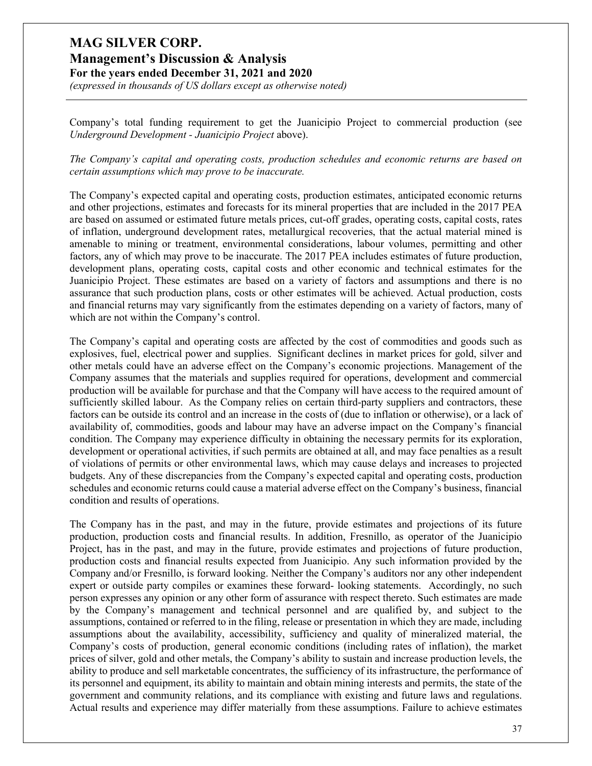### **Management's Discussion & Analysis For the years ended December 31, 2021 and 2020**

*(expressed in thousands of US dollars except as otherwise noted)*

Company's total funding requirement to get the Juanicipio Project to commercial production (see *Underground Development - Juanicipio Project* above).

*The Company's capital and operating costs, production schedules and economic returns are based on certain assumptions which may prove to be inaccurate.* 

The Company's expected capital and operating costs, production estimates, anticipated economic returns and other projections, estimates and forecasts for its mineral properties that are included in the 2017 PEA are based on assumed or estimated future metals prices, cut-off grades, operating costs, capital costs, rates of inflation, underground development rates, metallurgical recoveries, that the actual material mined is amenable to mining or treatment, environmental considerations, labour volumes, permitting and other factors, any of which may prove to be inaccurate. The 2017 PEA includes estimates of future production, development plans, operating costs, capital costs and other economic and technical estimates for the Juanicipio Project. These estimates are based on a variety of factors and assumptions and there is no assurance that such production plans, costs or other estimates will be achieved. Actual production, costs and financial returns may vary significantly from the estimates depending on a variety of factors, many of which are not within the Company's control.

The Company's capital and operating costs are affected by the cost of commodities and goods such as explosives, fuel, electrical power and supplies. Significant declines in market prices for gold, silver and other metals could have an adverse effect on the Company's economic projections. Management of the Company assumes that the materials and supplies required for operations, development and commercial production will be available for purchase and that the Company will have access to the required amount of sufficiently skilled labour. As the Company relies on certain third-party suppliers and contractors, these factors can be outside its control and an increase in the costs of (due to inflation or otherwise), or a lack of availability of, commodities, goods and labour may have an adverse impact on the Company's financial condition. The Company may experience difficulty in obtaining the necessary permits for its exploration, development or operational activities, if such permits are obtained at all, and may face penalties as a result of violations of permits or other environmental laws, which may cause delays and increases to projected budgets. Any of these discrepancies from the Company's expected capital and operating costs, production schedules and economic returns could cause a material adverse effect on the Company's business, financial condition and results of operations.

The Company has in the past, and may in the future, provide estimates and projections of its future production, production costs and financial results. In addition, Fresnillo, as operator of the Juanicipio Project, has in the past, and may in the future, provide estimates and projections of future production, production costs and financial results expected from Juanicipio. Any such information provided by the Company and/or Fresnillo, is forward looking. Neither the Company's auditors nor any other independent expert or outside party compiles or examines these forward- looking statements. Accordingly, no such person expresses any opinion or any other form of assurance with respect thereto. Such estimates are made by the Company's management and technical personnel and are qualified by, and subject to the assumptions, contained or referred to in the filing, release or presentation in which they are made, including assumptions about the availability, accessibility, sufficiency and quality of mineralized material, the Company's costs of production, general economic conditions (including rates of inflation), the market prices of silver, gold and other metals, the Company's ability to sustain and increase production levels, the ability to produce and sell marketable concentrates, the sufficiency of its infrastructure, the performance of its personnel and equipment, its ability to maintain and obtain mining interests and permits, the state of the government and community relations, and its compliance with existing and future laws and regulations. Actual results and experience may differ materially from these assumptions. Failure to achieve estimates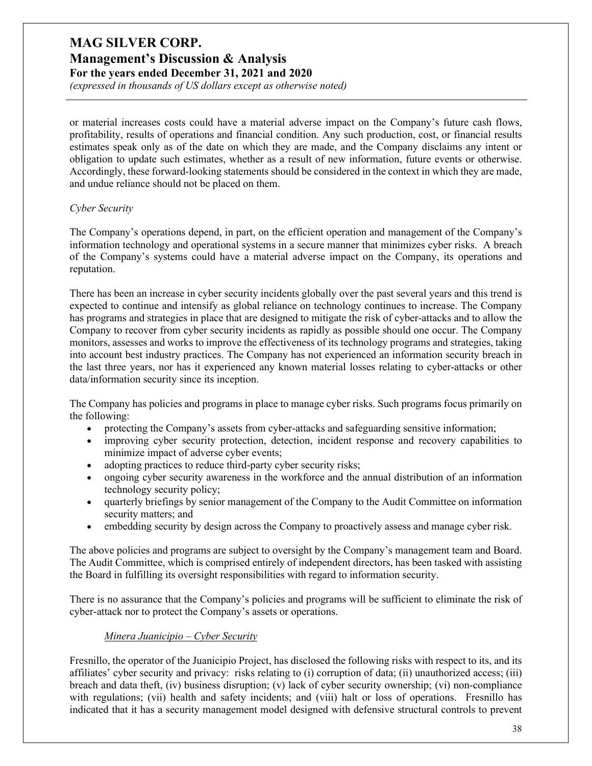*(expressed in thousands of US dollars except as otherwise noted)*

or material increases costs could have a material adverse impact on the Company's future cash flows, profitability, results of operations and financial condition. Any such production, cost, or financial results estimates speak only as of the date on which they are made, and the Company disclaims any intent or obligation to update such estimates, whether as a result of new information, future events or otherwise. Accordingly, these forward-looking statements should be considered in the context in which they are made, and undue reliance should not be placed on them.

#### *Cyber Security*

The Company's operations depend, in part, on the efficient operation and management of the Company's information technology and operational systems in a secure manner that minimizes cyber risks. A breach of the Company's systems could have a material adverse impact on the Company, its operations and reputation.

There has been an increase in cyber security incidents globally over the past several years and this trend is expected to continue and intensify as global reliance on technology continues to increase. The Company has programs and strategies in place that are designed to mitigate the risk of cyber-attacks and to allow the Company to recover from cyber security incidents as rapidly as possible should one occur. The Company monitors, assesses and works to improve the effectiveness of its technology programs and strategies, taking into account best industry practices. The Company has not experienced an information security breach in the last three years, nor has it experienced any known material losses relating to cyber-attacks or other data/information security since its inception.

The Company has policies and programs in place to manage cyber risks. Such programs focus primarily on the following:

- protecting the Company's assets from cyber-attacks and safeguarding sensitive information;
- improving cyber security protection, detection, incident response and recovery capabilities to minimize impact of adverse cyber events;
- adopting practices to reduce third-party cyber security risks;
- ongoing cyber security awareness in the workforce and the annual distribution of an information technology security policy;
- quarterly briefings by senior management of the Company to the Audit Committee on information security matters; and
- embedding security by design across the Company to proactively assess and manage cyber risk.

The above policies and programs are subject to oversight by the Company's management team and Board. The Audit Committee, which is comprised entirely of independent directors, has been tasked with assisting the Board in fulfilling its oversight responsibilities with regard to information security.

There is no assurance that the Company's policies and programs will be sufficient to eliminate the risk of cyber-attack nor to protect the Company's assets or operations.

#### *Minera Juanicipio – Cyber Security*

Fresnillo, the operator of the Juanicipio Project, has disclosed the following risks with respect to its, and its affiliates' cyber security and privacy: risks relating to (i) corruption of data; (ii) unauthorized access; (iii) breach and data theft, (iv) business disruption; (v) lack of cyber security ownership; (vi) non-compliance with regulations; (vii) health and safety incidents; and (viii) halt or loss of operations. Fresnillo has indicated that it has a security management model designed with defensive structural controls to prevent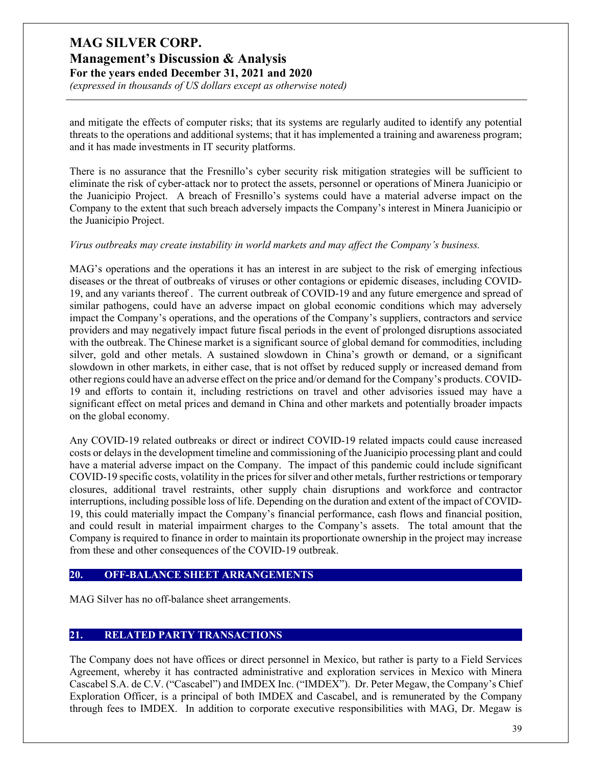# **Management's Discussion & Analysis**

**For the years ended December 31, 2021 and 2020**

*(expressed in thousands of US dollars except as otherwise noted)*

and mitigate the effects of computer risks; that its systems are regularly audited to identify any potential threats to the operations and additional systems; that it has implemented a training and awareness program; and it has made investments in IT security platforms.

There is no assurance that the Fresnillo's cyber security risk mitigation strategies will be sufficient to eliminate the risk of cyber-attack nor to protect the assets, personnel or operations of Minera Juanicipio or the Juanicipio Project. A breach of Fresnillo's systems could have a material adverse impact on the Company to the extent that such breach adversely impacts the Company's interest in Minera Juanicipio or the Juanicipio Project.

#### *Virus outbreaks may create instability in world markets and may affect the Company's business.*

MAG's operations and the operations it has an interest in are subject to the risk of emerging infectious diseases or the threat of outbreaks of viruses or other contagions or epidemic diseases, including COVID-19, and any variants thereof . The current outbreak of COVID-19 and any future emergence and spread of similar pathogens, could have an adverse impact on global economic conditions which may adversely impact the Company's operations, and the operations of the Company's suppliers, contractors and service providers and may negatively impact future fiscal periods in the event of prolonged disruptions associated with the outbreak. The Chinese market is a significant source of global demand for commodities, including silver, gold and other metals. A sustained slowdown in China's growth or demand, or a significant slowdown in other markets, in either case, that is not offset by reduced supply or increased demand from other regions could have an adverse effect on the price and/or demand for the Company's products. COVID-19 and efforts to contain it, including restrictions on travel and other advisories issued may have a significant effect on metal prices and demand in China and other markets and potentially broader impacts on the global economy.

Any COVID-19 related outbreaks or direct or indirect COVID-19 related impacts could cause increased costs or delays in the development timeline and commissioning of the Juanicipio processing plant and could have a material adverse impact on the Company. The impact of this pandemic could include significant COVID-19 specific costs, volatility in the prices for silver and other metals, further restrictions or temporary closures, additional travel restraints, other supply chain disruptions and workforce and contractor interruptions, including possible loss of life. Depending on the duration and extent of the impact of COVID-19, this could materially impact the Company's financial performance, cash flows and financial position, and could result in material impairment charges to the Company's assets. The total amount that the Company is required to finance in order to maintain its proportionate ownership in the project may increase from these and other consequences of the COVID-19 outbreak.

#### **20. OFF-BALANCE SHEET ARRANGEMENTS**

MAG Silver has no off-balance sheet arrangements.

### **21. RELATED PARTY TRANSACTIONS**

The Company does not have offices or direct personnel in Mexico, but rather is party to a Field Services Agreement, whereby it has contracted administrative and exploration services in Mexico with Minera Cascabel S.A. de C.V. ("Cascabel") and IMDEX Inc. ("IMDEX"). Dr. Peter Megaw, the Company's Chief Exploration Officer, is a principal of both IMDEX and Cascabel, and is remunerated by the Company through fees to IMDEX. In addition to corporate executive responsibilities with MAG, Dr. Megaw is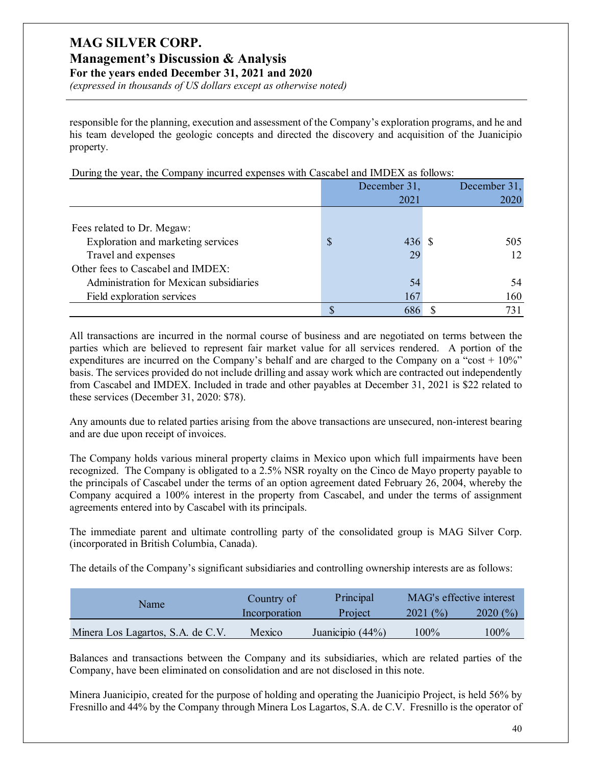# **MAG SILVER CORP. Management's Discussion & Analysis**

**For the years ended December 31, 2021 and 2020**

*(expressed in thousands of US dollars except as otherwise noted)*

responsible for the planning, execution and assessment of the Company's exploration programs, and he and his team developed the geologic concepts and directed the discovery and acquisition of the Juanicipio property.

During the year, the Company incurred expenses with Cascabel and IMDEX as follows:

|                                         |               | December 31, |  | December 31, |  |
|-----------------------------------------|---------------|--------------|--|--------------|--|
|                                         |               | 2021         |  | 2020         |  |
|                                         |               |              |  |              |  |
| Fees related to Dr. Megaw:              |               |              |  |              |  |
| Exploration and marketing services      | $\mathcal{S}$ | 436S         |  | 505          |  |
| Travel and expenses                     |               | 29           |  | 12           |  |
| Other fees to Cascabel and IMDEX:       |               |              |  |              |  |
| Administration for Mexican subsidiaries |               | 54           |  | 54           |  |
| Field exploration services              |               | 167          |  | 160          |  |
|                                         |               |              |  | 731          |  |

All transactions are incurred in the normal course of business and are negotiated on terms between the parties which are believed to represent fair market value for all services rendered. A portion of the expenditures are incurred on the Company's behalf and are charged to the Company on a "cost  $+10\%$ " basis. The services provided do not include drilling and assay work which are contracted out independently from Cascabel and IMDEX. Included in trade and other payables at December 31, 2021 is \$22 related to these services (December 31, 2020: \$78).

Any amounts due to related parties arising from the above transactions are unsecured, non-interest bearing and are due upon receipt of invoices.

The Company holds various mineral property claims in Mexico upon which full impairments have been recognized. The Company is obligated to a 2.5% NSR royalty on the Cinco de Mayo property payable to the principals of Cascabel under the terms of an option agreement dated February 26, 2004, whereby the Company acquired a 100% interest in the property from Cascabel, and under the terms of assignment agreements entered into by Cascabel with its principals.

The immediate parent and ultimate controlling party of the consolidated group is MAG Silver Corp. (incorporated in British Columbia, Canada).

The details of the Company's significant subsidiaries and controlling ownership interests are as follows:

| Name                              | Principal<br>Country of |                  | MAG's effective interest |         |
|-----------------------------------|-------------------------|------------------|--------------------------|---------|
|                                   | Incorporation           | Project          | 2021(%)                  | 2020(%) |
| Minera Los Lagartos, S.A. de C.V. | Mexico                  | Juanicipio (44%) | 100%                     | $100\%$ |

Balances and transactions between the Company and its subsidiaries, which are related parties of the Company, have been eliminated on consolidation and are not disclosed in this note.

Minera Juanicipio, created for the purpose of holding and operating the Juanicipio Project, is held 56% by Fresnillo and 44% by the Company through Minera Los Lagartos, S.A. de C.V. Fresnillo is the operator of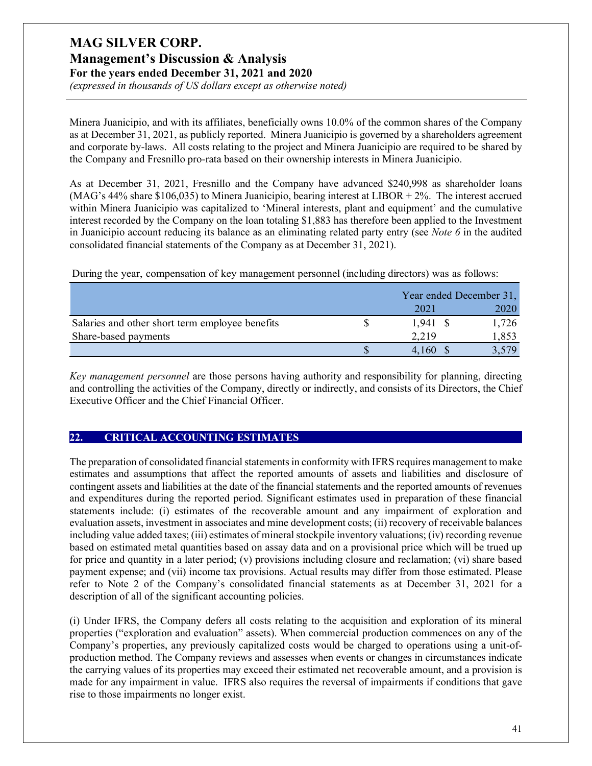# **MAG SILVER CORP. Management's Discussion & Analysis**

**For the years ended December 31, 2021 and 2020** *(expressed in thousands of US dollars except as otherwise noted)*

Minera Juanicipio, and with its affiliates, beneficially owns 10.0% of the common shares of the Company as at December 31, 2021, as publicly reported. Minera Juanicipio is governed by a shareholders agreement and corporate by-laws. All costs relating to the project and Minera Juanicipio are required to be shared by the Company and Fresnillo pro-rata based on their ownership interests in Minera Juanicipio.

As at December 31, 2021, Fresnillo and the Company have advanced \$240,998 as shareholder loans (MAG's 44% share \$106,035) to Minera Juanicipio, bearing interest at LIBOR + 2%. The interest accrued within Minera Juanicipio was capitalized to 'Mineral interests, plant and equipment' and the cumulative interest recorded by the Company on the loan totaling \$1,883 has therefore been applied to the Investment in Juanicipio account reducing its balance as an eliminating related party entry (see *Note 6* in the audited consolidated financial statements of the Company as at December 31, 2021).

During the year, compensation of key management personnel (including directors) was as follows:

|                                                 | Year ended December 31, |  |       |
|-------------------------------------------------|-------------------------|--|-------|
|                                                 | 2021                    |  | 2020  |
| Salaries and other short term employee benefits | 1.941                   |  | 1,726 |
| Share-based payments                            | 2.219                   |  | 1,853 |
|                                                 |                         |  | 3.579 |

*Key management personnel* are those persons having authority and responsibility for planning, directing and controlling the activities of the Company, directly or indirectly, and consists of its Directors, the Chief Executive Officer and the Chief Financial Officer.

### **22. CRITICAL ACCOUNTING ESTIMATES**

The preparation of consolidated financial statements in conformity with IFRS requires management to make estimates and assumptions that affect the reported amounts of assets and liabilities and disclosure of contingent assets and liabilities at the date of the financial statements and the reported amounts of revenues and expenditures during the reported period. Significant estimates used in preparation of these financial statements include: (i) estimates of the recoverable amount and any impairment of exploration and evaluation assets, investment in associates and mine development costs; (ii) recovery of receivable balances including value added taxes; (iii) estimates of mineral stockpile inventory valuations; (iv) recording revenue based on estimated metal quantities based on assay data and on a provisional price which will be trued up for price and quantity in a later period; (v) provisions including closure and reclamation; (vi) share based payment expense; and (vii) income tax provisions. Actual results may differ from those estimated. Please refer to Note 2 of the Company's consolidated financial statements as at December 31, 2021 for a description of all of the significant accounting policies.

(i) Under IFRS, the Company defers all costs relating to the acquisition and exploration of its mineral properties ("exploration and evaluation" assets). When commercial production commences on any of the Company's properties, any previously capitalized costs would be charged to operations using a unit-ofproduction method. The Company reviews and assesses when events or changes in circumstances indicate the carrying values of its properties may exceed their estimated net recoverable amount, and a provision is made for any impairment in value. IFRS also requires the reversal of impairments if conditions that gave rise to those impairments no longer exist.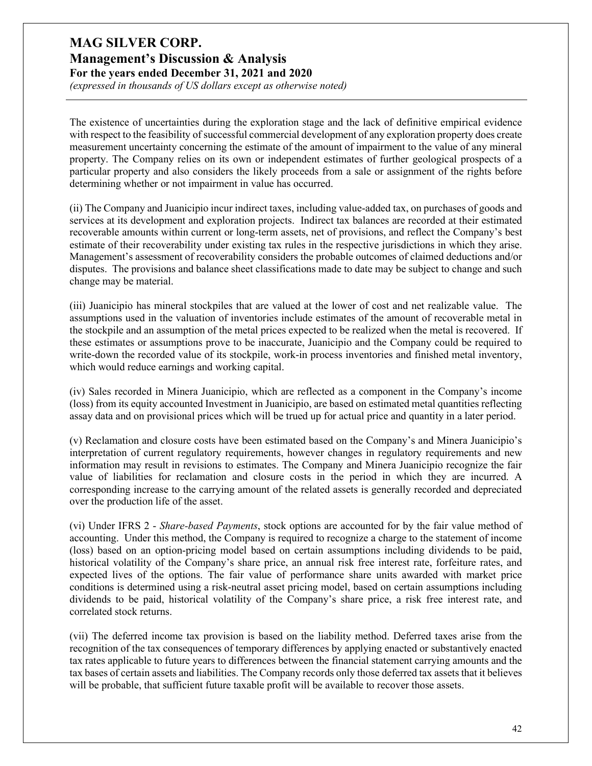*(expressed in thousands of US dollars except as otherwise noted)*

The existence of uncertainties during the exploration stage and the lack of definitive empirical evidence with respect to the feasibility of successful commercial development of any exploration property does create measurement uncertainty concerning the estimate of the amount of impairment to the value of any mineral property. The Company relies on its own or independent estimates of further geological prospects of a particular property and also considers the likely proceeds from a sale or assignment of the rights before determining whether or not impairment in value has occurred.

(ii) The Company and Juanicipio incur indirect taxes, including value-added tax, on purchases of goods and services at its development and exploration projects. Indirect tax balances are recorded at their estimated recoverable amounts within current or long-term assets, net of provisions, and reflect the Company's best estimate of their recoverability under existing tax rules in the respective jurisdictions in which they arise. Management's assessment of recoverability considers the probable outcomes of claimed deductions and/or disputes. The provisions and balance sheet classifications made to date may be subject to change and such change may be material.

(iii) Juanicipio has mineral stockpiles that are valued at the lower of cost and net realizable value. The assumptions used in the valuation of inventories include estimates of the amount of recoverable metal in the stockpile and an assumption of the metal prices expected to be realized when the metal is recovered. If these estimates or assumptions prove to be inaccurate, Juanicipio and the Company could be required to write-down the recorded value of its stockpile, work-in process inventories and finished metal inventory, which would reduce earnings and working capital.

(iv) Sales recorded in Minera Juanicipio, which are reflected as a component in the Company's income (loss) from its equity accounted Investment in Juanicipio, are based on estimated metal quantities reflecting assay data and on provisional prices which will be trued up for actual price and quantity in a later period.

(v) Reclamation and closure costs have been estimated based on the Company's and Minera Juanicipio's interpretation of current regulatory requirements, however changes in regulatory requirements and new information may result in revisions to estimates. The Company and Minera Juanicipio recognize the fair value of liabilities for reclamation and closure costs in the period in which they are incurred. A corresponding increase to the carrying amount of the related assets is generally recorded and depreciated over the production life of the asset.

(vi) Under IFRS 2 - *Share-based Payments*, stock options are accounted for by the fair value method of accounting. Under this method, the Company is required to recognize a charge to the statement of income (loss) based on an option-pricing model based on certain assumptions including dividends to be paid, historical volatility of the Company's share price, an annual risk free interest rate, forfeiture rates, and expected lives of the options. The fair value of performance share units awarded with market price conditions is determined using a risk-neutral asset pricing model, based on certain assumptions including dividends to be paid, historical volatility of the Company's share price, a risk free interest rate, and correlated stock returns.

(vii) The deferred income tax provision is based on the liability method. Deferred taxes arise from the recognition of the tax consequences of temporary differences by applying enacted or substantively enacted tax rates applicable to future years to differences between the financial statement carrying amounts and the tax bases of certain assets and liabilities. The Company records only those deferred tax assets that it believes will be probable, that sufficient future taxable profit will be available to recover those assets.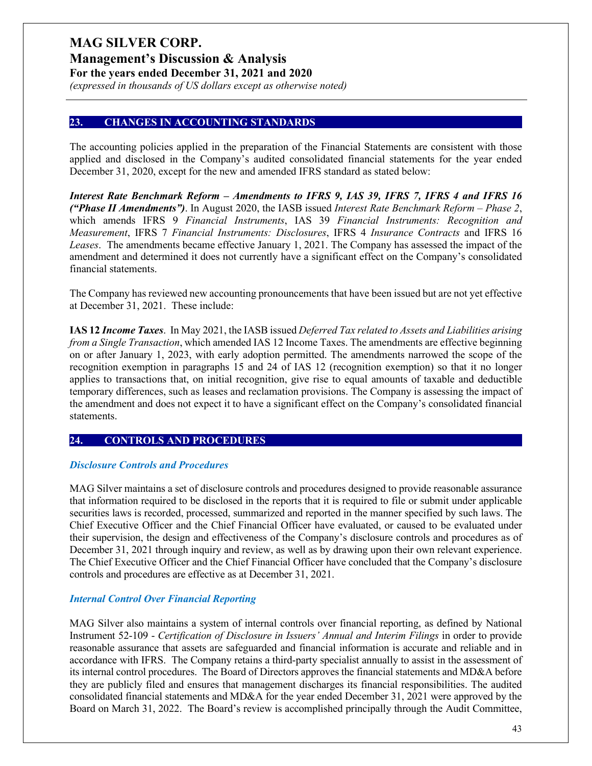**Management's Discussion & Analysis**

**For the years ended December 31, 2021 and 2020**

*(expressed in thousands of US dollars except as otherwise noted)*

### **23. CHANGES IN ACCOUNTING STANDARDS**

The accounting policies applied in the preparation of the Financial Statements are consistent with those applied and disclosed in the Company's audited consolidated financial statements for the year ended December 31, 2020, except for the new and amended IFRS standard as stated below:

*Interest Rate Benchmark Reform – Amendments to IFRS 9, IAS 39, IFRS 7, IFRS 4 and IFRS 16 ("Phase II Amendments")*. In August 2020, the IASB issued *Interest Rate Benchmark Reform – Phase 2*, which amends IFRS 9 *Financial Instruments*, IAS 39 *Financial Instruments: Recognition and Measurement*, IFRS 7 *Financial Instruments: Disclosures*, IFRS 4 *Insurance Contracts* and IFRS 16 *Leases*. The amendments became effective January 1, 2021. The Company has assessed the impact of the amendment and determined it does not currently have a significant effect on the Company's consolidated financial statements.

The Company has reviewed new accounting pronouncements that have been issued but are not yet effective at December 31, 2021. These include:

**IAS 12** *Income Taxes*. In May 2021, the IASB issued *Deferred Tax related to Assets and Liabilities arising from a Single Transaction*, which amended IAS 12 Income Taxes. The amendments are effective beginning on or after January 1, 2023, with early adoption permitted. The amendments narrowed the scope of the recognition exemption in paragraphs 15 and 24 of IAS 12 (recognition exemption) so that it no longer applies to transactions that, on initial recognition, give rise to equal amounts of taxable and deductible temporary differences, such as leases and reclamation provisions. The Company is assessing the impact of the amendment and does not expect it to have a significant effect on the Company's consolidated financial statements.

### **24. CONTROLS AND PROCEDURES**

#### *Disclosure Controls and Procedures*

MAG Silver maintains a set of disclosure controls and procedures designed to provide reasonable assurance that information required to be disclosed in the reports that it is required to file or submit under applicable securities laws is recorded, processed, summarized and reported in the manner specified by such laws. The Chief Executive Officer and the Chief Financial Officer have evaluated, or caused to be evaluated under their supervision, the design and effectiveness of the Company's disclosure controls and procedures as of December 31, 2021 through inquiry and review, as well as by drawing upon their own relevant experience. The Chief Executive Officer and the Chief Financial Officer have concluded that the Company's disclosure controls and procedures are effective as at December 31, 2021.

### *Internal Control Over Financial Reporting*

MAG Silver also maintains a system of internal controls over financial reporting, as defined by National Instrument 52-109 - *Certification of Disclosure in Issuers' Annual and Interim Filings* in order to provide reasonable assurance that assets are safeguarded and financial information is accurate and reliable and in accordance with IFRS. The Company retains a third-party specialist annually to assist in the assessment of its internal control procedures. The Board of Directors approves the financial statements and MD&A before they are publicly filed and ensures that management discharges its financial responsibilities. The audited consolidated financial statements and MD&A for the year ended December 31, 2021 were approved by the Board on March 31, 2022. The Board's review is accomplished principally through the Audit Committee,